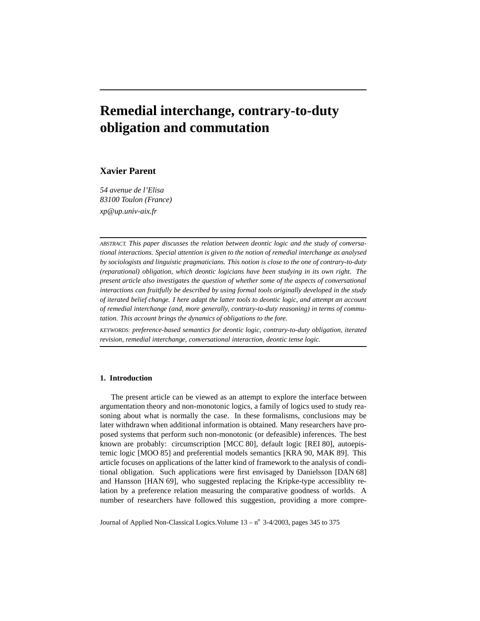# **Remedial interchange, contrary-to-duty obligation and commutation**

## **Xavier Parent**

*54 avenue de l'Elisa 83100 Toulon (France) xp@up.univ-aix.fr*

*ABSTRACT. This paper discusses the relation between deontic logic and the study of conversational interactions. Special attention is given to the notion of remedial interchange as analysed by sociologists and linguistic pragmaticians. This notion is close to the one of contrary-to-duty (reparational) obligation, which deontic logicians have been studying in its own right. The present article also investigates the question of whether some of the aspects of conversational interactions can fruitfully be described by using formal tools originally developed in the study of iterated belief change. I here adapt the latter tools to deontic logic, and attempt an account of remedial interchange (and, more generally, contrary-to-duty reasoning) in terms of commutation. This account brings the dynamics of obligations to the fore.*

*KEYWORDS: preference-based semantics for deontic logic, contrary-to-duty obligation, iterated revision, remedial interchange, conversational interaction, deontic tense logic.*

## **1. Introduction**

The present article can be viewed as an attempt to explore the interface between argumentation theory and non-monotonic logics, a family of logics used to study reasoning about what is normally the case. In these formalisms, conclusions may be later withdrawn when additional information is obtained. Many researchers have proposed systems that perform such non-monotonic (or defeasible) inferences. The best known are probably: circumscription [MCC 80], default logic [REI 80], autoepistemic logic [MOO 85] and preferential models semantics [KRA 90, MAK 89]. This article focuses on applications of the latter kind of framework to the analysis of conditional obligation. Such applications were first envisaged by Danielsson [DAN 68] and Hansson [HAN 69], who suggested replacing the Kripke-type accessiblity relation by a preference relation measuring the comparative goodness of worlds. A number of researchers have followed this suggestion, providing a more compre-

Journal of Applied Non-Classical Logics.Volume 13 – n 3-4/2003, pages 345 to 375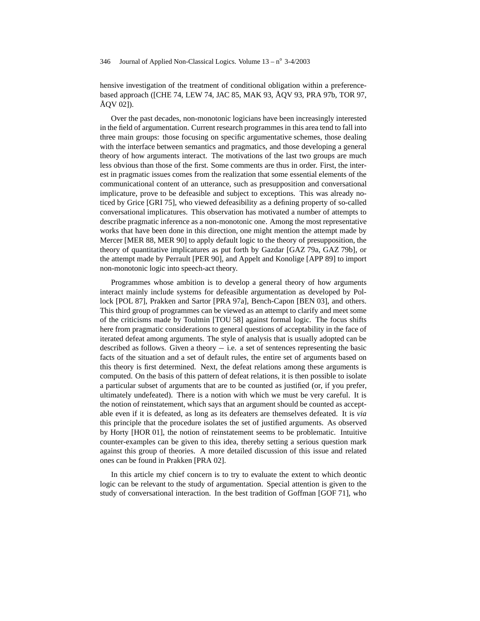hensive investigation of the treatment of conditional obligation within a preferencebased approach ([CHE 74, LEW 74, JAC 85, MAK 93, ÅQV 93, PRA 97b, TOR 97, ÅQV 02]).

Over the past decades, non-monotonic logicians have been increasingly interested in the field of argumentation. Current research programmesin this area tend to fall into three main groups: those focusing on specific argumentative schemes, those dealing with the interface between semantics and pragmatics, and those developing a general theory of how arguments interact. The motivations of the last two groups are much less obvious than those of the first. Some comments are thus in order. First, the interest in pragmatic issues comes from the realization that some essential elements of the communicational content of an utterance, such as presupposition and conversational implicature, prove to be defeasible and subject to exceptions. This was already noticed by Grice [GRI 75], who viewed defeasibility as a defining property of so-called conversational implicatures. This observation has motivated a number of attempts to describe pragmatic inference as a non-monotonic one. Among the most representative works that have been done in this direction, one might mention the attempt made by Mercer [MER 88, MER 90] to apply default logic to the theory of presupposition, the theory of quantitative implicatures as put forth by Gazdar [GAZ 79a, GAZ 79b], or the attempt made by Perrault [PER 90], and Appelt and Konolige [APP 89] to import non-monotonic logic into speech-act theory.

Programmes whose ambition is to develop a general theory of how arguments interact mainly include systems for defeasible argumentation as developed by Pollock [POL 87], Prakken and Sartor [PRA 97a], Bench-Capon [BEN 03], and others. This third group of programmes can be viewed as an attempt to clarify and meet some of the criticisms made by Toulmin [TOU 58] against formal logic. The focus shifts here from pragmatic considerations to general questions of acceptability in the face of iterated defeat among arguments. The style of analysis that is usually adopted can be described as follows. Given a theory  $-$  i.e. a set of sentences representing the basic facts of the situation and a set of default rules, the entire set of arguments based on this theory is first determined. Next, the defeat relations among these arguments is computed. On the basis of this pattern of defeat relations, it is then possible to isolate a particular subset of arguments that are to be counted as justified (or, if you prefer, ultimately undefeated). There is a notion with which we must be very careful. It is the notion of reinstatement, which says that an argument should be counted as acceptable even if it is defeated, as long as its defeaters are themselves defeated. It is *via* this principle that the procedure isolates the set of justified arguments. As observed by Horty [HOR 01], the notion of reinstatement seems to be problematic. Intuitive counter-examples can be given to this idea, thereby setting a serious question mark against this group of theories. A more detailed discussion of this issue and related ones can be found in Prakken [PRA 02].

In this article my chief concern is to try to evaluate the extent to which deontic logic can be relevant to the study of argumentation. Special attention is given to the study of conversational interaction. In the best tradition of Goffman [GOF 71], who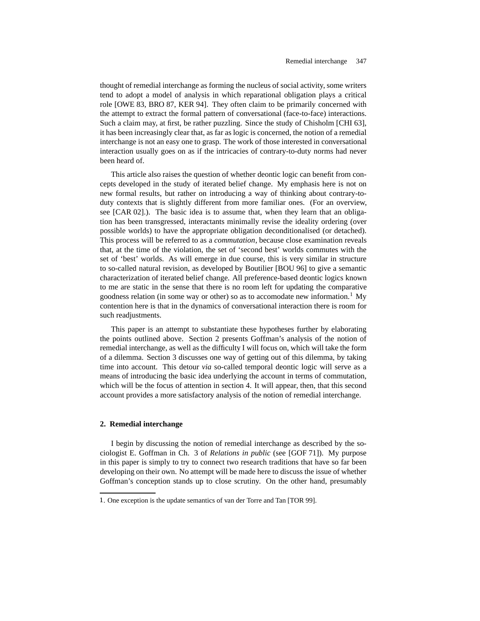thought of remedial interchange as forming the nucleus of social activity, some writers tend to adopt a model of analysis in which reparational obligation plays a critical role [OWE 83, BRO 87, KER 94]. They often claim to be primarily concerned with the attempt to extract the formal pattern of conversational (face-to-face) interactions. Such a claim may, at first, be rather puzzling. Since the study of Chisholm [CHI 63], it has been increasingly clear that, as far as logic is concerned, the notion of a remedial interchange is not an easy one to grasp. The work of those interested in conversational interaction usually goes on as if the intricacies of contrary-to-duty norms had never been heard of.

This article also raises the question of whether deontic logic can benefit from concepts developed in the study of iterated belief change. My emphasis here is not on new formal results, but rather on introducing a way of thinking about contrary-toduty contexts that is slightly different from more familiar ones. (For an overview, see [CAR 02].). The basic idea is to assume that, when they learn that an obligation has been transgressed, interactants minimally revise the ideality ordering (over possible worlds) to have the appropriate obligation deconditionalised (or detached). This process will be referred to as a *commutation*, because close examination reveals that, at the time of the violation, the set of 'second best' worlds commutes with the set of 'best' worlds. As will emerge in due course, this is very similar in structure to so-called natural revision, as developed by Boutilier [BOU 96] to give a semantic characterization of iterated belief change. All preference-based deontic logics known to me are static in the sense that there is no room left for updating the comparative goodness relation (in some way or other) so as to accomodate new information.<sup>1</sup> My contention here is that in the dynamics of conversational interaction there is room for such readjustments.

This paper is an attempt to substantiate these hypotheses further by elaborating the points outlined above. Section 2 presents Goffman's analysis of the notion of remedial interchange, as well as the difficulty I will focus on, which will take the form of a dilemma. Section 3 discusses one way of getting out of this dilemma, by taking time into account. This detour *via* so-called temporal deontic logic will serve as a means of introducing the basic idea underlying the account in terms of commutation, which will be the focus of attention in section 4. It will appear, then, that this second account provides a more satisfactory analysis of the notion of remedial interchange.

## **2. Remedial interchange**

I begin by discussing the notion of remedial interchange as described by the sociologist E. Goffman in Ch. 3 of *Relations in public* (see [GOF 71]). My purpose in this paper is simply to try to connect two research traditions that have so far been developing on their own. No attempt will be made here to discuss the issue of whether Goffman's conception stands up to close scrutiny. On the other hand, presumably

<sup>-</sup> . One exception is the update semantics of van der Torre and Tan [TOR 99].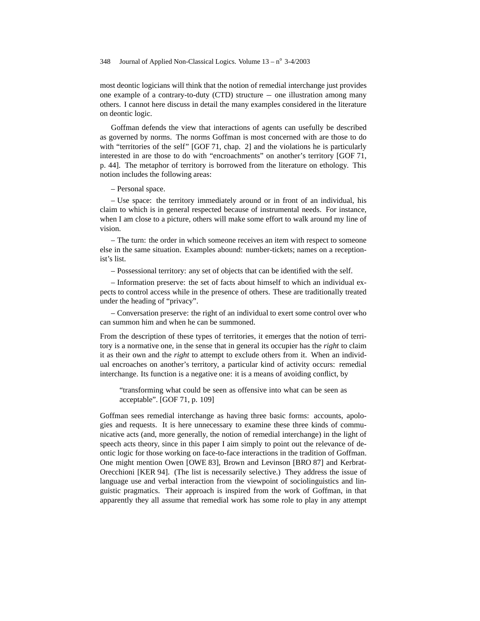most deontic logicians will think that the notion of remedial interchange just provides one example of a contrary-to-duty (CTD) structure  $-$  one illustration among many others. I cannot here discuss in detail the many examples considered in the literature on deontic logic.

Goffman defends the view that interactions of agents can usefully be described as governed by norms. The norms Goffman is most concerned with are those to do with "territories of the self" [GOF 71, chap. 2] and the violations he is particularly interested in are those to do with "encroachments" on another's territory [GOF 71, p. 44]. The metaphor of territory is borrowed from the literature on ethology. This notion includes the following areas:

– Personal space.

– Use space: the territory immediately around or in front of an individual, his claim to which is in general respected because of instrumental needs. For instance, when I am close to a picture, others will make some effort to walk around my line of vision.

– The turn: the order in which someone receives an item with respect to someone else in the same situation. Examples abound: number-tickets; names on a receptionist's list.

– Possessional territory: any set of objects that can be identified with the self.

– Information preserve: the set of facts about himself to which an individual expects to control access while in the presence of others. These are traditionally treated under the heading of "privacy".

– Conversation preserve: the right of an individual to exert some control over who can summon him and when he can be summoned.

From the description of these types of territories, it emerges that the notion of territory is a normative one, in the sense that in general its occupier has the *right* to claim it as their own and the *right* to attempt to exclude others from it. When an individual encroaches on another's territory, a particular kind of activity occurs: remedial interchange. Its function is a negative one: it is a means of avoiding conflict, by

"transforming what could be seen as offensive into what can be seen as acceptable". [GOF 71, p. 109]

Goffman sees remedial interchange as having three basic forms: accounts, apologies and requests. It is here unnecessary to examine these three kinds of communicative acts (and, more generally, the notion of remedial interchange) in the light of speech acts theory, since in this paper I aim simply to point out the relevance of deontic logic for those working on face-to-face interactions in the tradition of Goffman. One might mention Owen [OWE 83], Brown and Levinson [BRO 87] and Kerbrat-Orecchioni [KER 94]. (The list is necessarily selective.) They address the issue of language use and verbal interaction from the viewpoint of sociolinguistics and linguistic pragmatics. Their approach is inspired from the work of Goffman, in that apparently they all assume that remedial work has some role to play in any attempt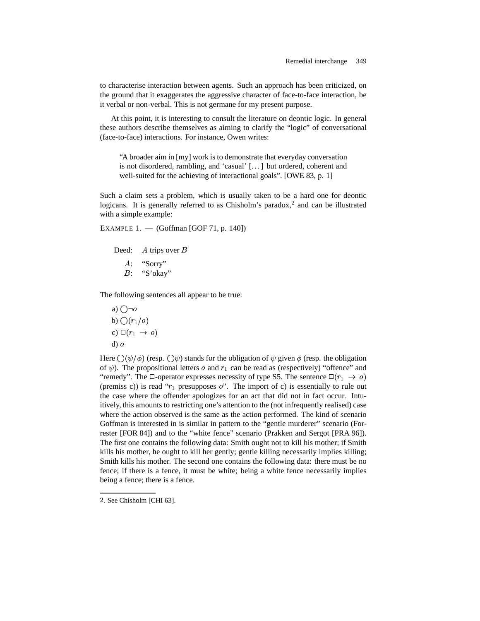to characterise interaction between agents. Such an approach has been criticized, on the ground that it exaggerates the aggressive character of face-to-face interaction, be it verbal or non-verbal. This is not germane for my present purpose.

At this point, it is interesting to consult the literature on deontic logic. In general these authors describe themselves as aiming to clarify the "logic" of conversational (face-to-face) interactions. For instance, Owen writes:

"A broader aim in [my] work is to demonstrate that everyday conversation is not disordered, rambling, and 'casual' [. . .] but ordered, coherent and well-suited for the achieving of interactional goals". [OWE 83, p. 1]

Such a claim sets a problem, which is usually taken to be a hard one for deontic logicans. It is generally referred to as Chisholm's paradox,<sup>2</sup> and can be illustrated with a simple example:

EXAMPLE 1. — (Goffman [GOF 71, p. 140])

Deed:  $A$  trips over  $B$ 

: "Sorry"

: "S'okay"

The following sentences all appear to be true:

a) 
$$
\bigcirc
$$
  
b)  $\bigcirc$   $(r_1/o)$   
c)  $\Box$   $(r_1 \rightarrow o)$   
d) o

Here  $\bigcirc(\psi/\phi)$  (resp.  $\bigcirc\psi$ ) stands for the obligation of  $\psi$  given  $\phi$  (resp. the obligation of  $\psi$ ). The propositional letters *o* and  $r_1$  can be read as (respectively) "offence" and "remedy". The  $\Box$ -operator expresses necessity of type S5. The sentence  $\Box(r_1 \rightarrow o)$ (premiss c)) is read " $r_1$  presupposes o". The import of c) is essentially to rule out the case where the offender apologizes for an act that did not in fact occur. Intuitively, this amounts to restricting one's attention to the (not infrequently realised) case where the action observed is the same as the action performed. The kind of scenario Goffman is interested in is similar in pattern to the "gentle murderer" scenario (Forrester [FOR 84]) and to the "white fence" scenario (Prakken and Sergot [PRA 96]). The first one contains the following data: Smith ought not to kill his mother; if Smith kills his mother, he ought to kill her gently; gentle killing necessarily implies killing; Smith kills his mother. The second one contains the following data: there must be no fence; if there is a fence, it must be white; being a white fence necessarily implies being a fence; there is a fence.

<sup>#</sup> . See Chisholm [CHI 63].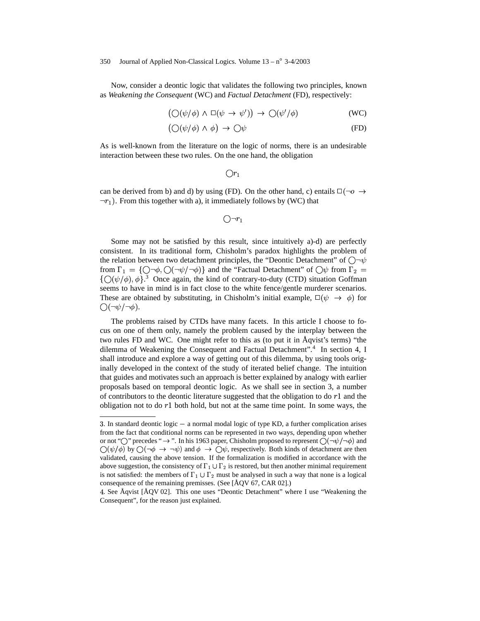Now, consider a deontic logic that validates the following two principles, known as *Weakening the Consequent* (WC) and *Factual Detachment* (FD), respectively:

$$
(\bigcirc(\psi/\phi) \land \Box(\psi \to \psi')) \to \bigcirc(\psi'/\phi) \tag{WC}
$$

$$
(\bigcirc(\psi/\phi)\,\wedge\,\phi)\,\rightarrow\,\bigcirc\psi\tag{FD}
$$

As is well-known from the literature on the logic of norms, there is an undesirable interaction between these two rules. On the one hand, the obligation

 $\bigcap r_1$ 

can be derived from b) and d) by using (FD). On the other hand, c) entails  $\square(\neg o \rightarrow \neg o)$  $\neg r_1$ ). From this together with a), it immediately follows by (WC) that

$$
\bigcirc \neg r_1
$$

Some may not be satisfied by this result, since intuitively a)-d) are perfectly consistent. In its traditional form, Chisholm's paradox highlights the problem of the relation between two detachment principles, the "Deontic Detachment" of  $\bigcirc \neg \psi$ from  $\Gamma_1 = \{ \bigcirc \neg \phi, \bigcirc (\neg \psi / \neg \phi) \}$  and the "Factual Detachment" of  $\bigcirc \psi$  from  $\Gamma_2 =$  $\{O(\psi/\phi), \phi\}$ <sup>3</sup> Once again, the kind of contrary-to-duty (CTD) situation Goffman seems to have in mind is in fact close to the white fence/gentle murderer scenarios. These are obtained by substituting, in Chisholm's initial example,  $\square(\psi \rightarrow \phi)$  for  $\bigcirc$   $(\neg \psi / \neg \phi)$ .

The problems raised by CTDs have many facets. In this article I choose to focus on one of them only, namely the problem caused by the interplay between the two rules FD and WC. One might refer to this as (to put it in Åqvist's terms) "the dilemma of Weakening the Consequent and Factual Detachment".<sup>4</sup> In section 4, I shall introduce and explore a way of getting out of this dilemma, by using tools originally developed in the context of the study of iterated belief change. The intuition that guides and motivates such an approach is better explained by analogy with earlier proposals based on temporal deontic logic. As we shall see in section 3, a number of contributors to the deontic literature suggested that the obligation to do  $r1$  and the obligation not to do  $r1$  both hold, but not at the same time point. In some ways, the

<sup>3.</sup> In standard deontic logic – a normal modal logic of type KD, a further complication arises from the fact that conditional norms can be represented in two ways, depending upon whether or not " $\bigcirc$ " precedes "  $\rightarrow$ ". In his 1963 paper, Chisholm proposed to represent  $\bigcirc$   $(\neg \psi / \neg \phi)$  and  $\bigcirc$ ( $\psi/\phi$ ) by  $\bigcirc$ ( $\neg \phi \rightarrow \neg \psi$ ) and  $\phi \rightarrow \bigcirc \psi$ , respectively. Both kinds of detachment are then validated, causing the above tension. If the formalization is modified in accordance with the above suggestion, the consistency of  $\Gamma_1 \cup \Gamma_2$  is restored, but then another minimal requirement is not satisfied: the members of  $\Gamma_1 \cup \Gamma_2$  must be analysed in such a way that none is a logical consequence of the remaining premisses. (See [ÅQV 67, CAR 02].)

<sup>a</sup> . See Åqvist [ÅQV 02]. This one uses "Deontic Detachment" where I use "Weakening the Consequent", for the reason just explained.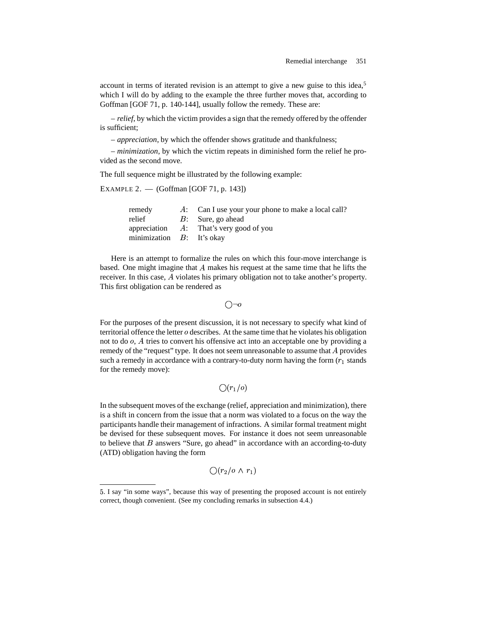account in terms of iterated revision is an attempt to give a new guise to this idea,<sup>5</sup> which I will do by adding to the example the three further moves that, according to Goffman [GOF 71, p. 140-144], usually follow the remedy. These are:

– *relief*, by which the victim provides a sign that the remedy offered by the offender is sufficient;

– *appreciation*, by which the offender shows gratitude and thankfulness;

– *minimization*, by which the victim repeats in diminished form the relief he provided as the second move.

The full sequence might be illustrated by the following example:

EXAMPLE 2. — (Goffman [GOF 71, p. 143])

| remedy                       | A: Can I use your your phone to make a local call? |
|------------------------------|----------------------------------------------------|
| relief                       | $B$ : Sure, go ahead                               |
|                              | appreciation $A$ : That's very good of you         |
| minimization $B$ : It's okay |                                                    |
|                              |                                                    |

Here is an attempt to formalize the rules on which this four-move interchange is based. One might imagine that  $A$  makes his request at the same time that he lifts the receiver. In this case, A violates his primary obligation not to take another's property. This first obligation can be rendered as

 $\bigcap \neg o$ 

For the purposes of the present discussion, it is not necessary to specify what kind of territorial offence the letter  $o$  describes. At the same time that he violates his obligation not to do  $o$ ,  $\tilde{A}$  tries to convert his offensive act into an acceptable one by providing a remedy of the "request" type. It does not seem unreasonable to assume that  $A$  provides such a remedy in accordance with a contrary-to-duty norm having the form  $(r_1 \text{ stands})$ for the remedy move):

 $\cdots$ 

In the subsequent moves of the exchange (relief, appreciation and minimization), there is a shift in concern from the issue that a norm was violated to a focus on the way the participants handle their management of infractions. A similar formal treatment might be devised for these subsequent moves. For instance it does not seem unreasonable to believe that  $B$  answers "Sure, go ahead" in accordance with an according-to-duty (ATD) obligation having the form

$$
\bigcirc (r_2/o \,\wedge\, r_1)
$$

<sup>c</sup> . I say "in some ways", because this way of presenting the proposed account is not entirely correct, though convenient. (See my concluding remarks in subsection 4.4.)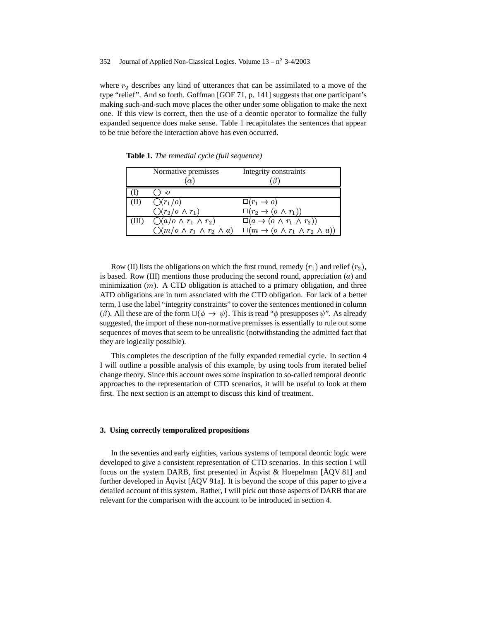where  $r_2$  describes any kind of utterances that can be assimilated to a move of the type "relief". And so forth. Goffman [GOF 71, p. 141] suggests that one participant's making such-and-such move places the other under some obligation to make the next one. If this view is correct, then the use of a deontic operator to formalize the fully expanded sequence does make sense. Table 1 recapitulates the sentences that appear to be true before the interaction above has even occurred.

|      | Normative premisses                            | Integrity constraints                                 |
|------|------------------------------------------------|-------------------------------------------------------|
|      |                                                |                                                       |
|      | $\neg$                                         |                                                       |
| (II) | $\bigcirc$ $(r_1/o)$                           | $\Box(r_1 \rightarrow o)$                             |
|      | $\bigcirc (r_2/o \wedge r_1)$                  | $\Box(r_2 \rightarrow (o \land r_1))$                 |
|      | (III) $\bigcirc$ $(a/o \wedge r_1 \wedge r_2)$ | $\Box(a \rightarrow (o \land r_1 \land r_2))$         |
|      | $\bigcap (m/o \wedge r_1 \wedge r_2 \wedge a)$ | $\Box(m \rightarrow (o \land r_1 \land r_2 \land a))$ |

**Table 1.** *The remedial cycle (full sequence)*

Row (II) lists the obligations on which the first round, remedy  $(r_1)$  and relief  $(r_2)$ , is based. Row (III) mentions those producing the second round, appreciation  $(a)$  and minimization  $(m)$ . A CTD obligation is attached to a primary obligation, and three ATD obligations are in turn associated with the CTD obligation. For lack of a better term, I use the label "integrity constraints" to cover the sentences mentioned in column ( $\beta$ ). All these are of the form  $\square(\phi \to \psi)$ . This is read " $\phi$  presupposes  $\psi$ ". As already suggested, the import of these non-normative premisses is essentially to rule out some sequences of moves that seem to be unrealistic (notwithstanding the admitted fact that they are logically possible).

This completes the description of the fully expanded remedial cycle. In section 4 I will outline a possible analysis of this example, by using tools from iterated belief change theory. Since this account owes some inspiration to so-called temporal deontic approaches to the representation of CTD scenarios, it will be useful to look at them first. The next section is an attempt to discuss this kind of treatment.

## **3. Using correctly temporalized propositions**

In the seventies and early eighties, various systems of temporal deontic logic were developed to give a consistent representation of CTD scenarios. In this section I will focus on the system DARB, first presented in Åqvist & Hoepelman [ÅQV 81] and further developed in Åqvist [ÅQV 91a]. It is beyond the scope of this paper to give a detailed account of this system. Rather, I will pick out those aspects of DARB that are relevant for the comparison with the account to be introduced in section 4.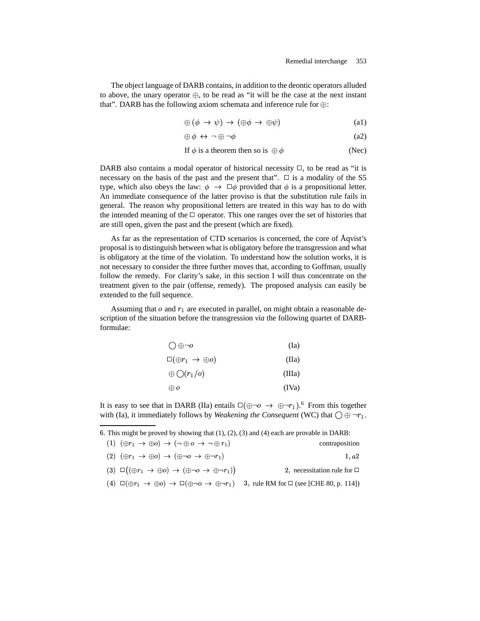The object language of DARB contains, in addition to the deontic operators alluded to above, the unary operator  $\oplus$ , to be read as "it will be the case at the next instant that". DARB has the following axiom schemata and inference rule for  $\oplus$ :

$$
\oplus (\phi \to \psi) \to (\oplus \phi \to \oplus \psi) \tag{a1}
$$

$$
\oplus \phi \leftrightarrow \neg \oplus \neg \phi \tag{a2}
$$

If 
$$
\phi
$$
 is a theorem then so is  $\oplus \phi$  (Nec)

DARB also contains a modal operator of historical necessity  $\Box$ , to be read as "it is necessary on the basis of the past and the present that".  $\Box$  is a modality of the S5 type, which also obeys the law:  $\phi \rightarrow \Box \phi$  provided that  $\phi$  is a propositional letter. An immediate consequence of the latter proviso is that the substitution rule fails in general. The reason why propositional letters are treated in this way has to do with the intended meaning of the  $\Box$  operator. This one ranges over the set of histories that are still open, given the past and the present (which are fixed).

As far as the representation of CTD scenarios is concerned, the core of Åqvist's proposal is to distinguish between what is obligatory before the transgression and what is obligatory at the time of the violation. To understand how the solution works, it is not necessary to consider the three further moves that, according to Goffman, usually follow the remedy. For clarity's sake, in this section I will thus concentrate on the treatment given to the pair (offense, remedy). The proposed analysis can easily be extended to the full sequence.

Assuming that  $o$  and  $r_1$  are executed in parallel, on might obtain a reasonable description of the situation before the transgression *via* the following quartet of DARBformulae:

| $\bigcap \oplus \neg o$                 | (Ia)   |
|-----------------------------------------|--------|
| $\Box(\oplus r_1 \rightarrow \oplus o)$ | (IIa)  |
| $\oplus$ $\bigcirc$ $(r_1/o)$           | (IIIa) |
| $\oplus$ $o$                            | (IVa)  |

It is easy to see that in DARB (IIa) entails  $\square(\oplus \neg o \rightarrow \oplus \neg r_1)$ .<sup>6</sup> From this together with (Ia), it immediately follows by *Weakening the Consequent* (WC) that  $\bigcap \oplus \neg r_1$ .

6. This might be proved by showing that (1), (2), (3) and (4) each are provable in DARB:

|  | $(1)$ $(\oplus r_1 \rightarrow \oplus o) \rightarrow (\neg \oplus o \rightarrow \neg \oplus r_1)$ |  | contraposition |
|--|---------------------------------------------------------------------------------------------------|--|----------------|
|  |                                                                                                   |  |                |

| (2) $(\oplus r_1 \rightarrow \oplus o) \rightarrow (\oplus \neg o \rightarrow \oplus \neg r_1)$ | 1. a2 |
|-------------------------------------------------------------------------------------------------|-------|
|-------------------------------------------------------------------------------------------------|-------|

|  |  |  |  | $(3) \Box ((\oplus r_1 \rightarrow \oplus o) \rightarrow (\oplus \neg o \rightarrow \oplus \neg r_1))$ |  | 2 necessitation rule for $\Box$ |
|--|--|--|--|--------------------------------------------------------------------------------------------------------|--|---------------------------------|
|--|--|--|--|--------------------------------------------------------------------------------------------------------|--|---------------------------------|

 $(4) \Box(\oplus r_1 \to \oplus o) \to \Box(\oplus \neg o \to \oplus \neg r_1)$  3, rule RM for  $\Box$  (see [CHE 80, p. 114])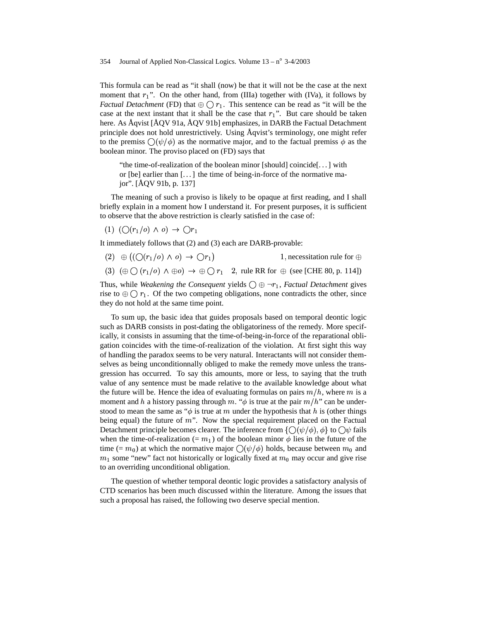This formula can be read as "it shall (now) be that it will not be the case at the next moment that  $r_1$ ". On the other hand, from (IIIa) together with (IVa), it follows by *Factual Detachment* (FD) that  $\oplus$   $\bigcirc$   $r_1$ . This sentence can be read as "it will be the case at the next instant that it shall be the case that  $r_1$ ". But care should be taken here. As Åqvist [ÅQV 91a, ÅQV 91b] emphasizes, in DARB the Factual Detachment principle does not hold unrestrictively. Using Åqvist's terminology, one might refer to the premiss  $\bigcirc(\psi/\phi)$  as the normative major, and to the factual premiss  $\phi$  as the boolean minor. The proviso placed on (FD) says that

"the time-of-realization of the boolean minor [should] coincide[. . .] with or [be] earlier than [. . .] the time of being-in-force of the normative major". [ÅQV 91b, p. 137]

The meaning of such a proviso is likely to be opaque at first reading, and I shall briefly explain in a moment how I understand it. For present purposes, it is sufficient to observe that the above restriction is clearly satisfied in the case of:

/G8 B  '&;x!

It immediately follows that (2) and (3) each are DARB-provable:

- $(2) \oplus ((\bigcap (r_1/o) \wedge o) \rightarrow \bigcap r_1)$ 1, necessitation rule for  $\oplus$
- (3)  $(\oplus \bigcirc (r_1/o) \wedge \oplus o) \rightarrow \oplus \bigcirc r_1$  2, rule RR for  $\oplus$  (see [CHE 80, p. 114])

Thus, while *Weakening the Consequent* yields  $\bigcirc$   $\oplus \neg r_1$ , *Factual Detachment* gives rise to  $\oplus$   $\bigcap$   $r_1$ . Of the two competing obligations, none contradicts the other, since they do not hold at the same time point.

To sum up, the basic idea that guides proposals based on temporal deontic logic such as DARB consists in post-dating the obligatoriness of the remedy. More specifically, it consists in assuming that the time-of-being-in-force of the reparational obligation coincides with the time-of-realization of the violation. At first sight this way of handling the paradox seems to be very natural. Interactants will not consider themselves as being unconditionnally obliged to make the remedy move unless the transgression has occurred. To say this amounts, more or less, to saying that the truth value of any sentence must be made relative to the available knowledge about what the future will be. Hence the idea of evaluating formulas on pairs  $m/h$ , where m is a moment and h a history passing through m. " $\phi$  is true at the pair  $m/h$ " can be understood to mean the same as " $\phi$  is true at m under the hypothesis that h is (other things being equal) the future of  $m$ ". Now the special requirement placed on the Factual Detachment principle becomes clearer. The inference from  $\{\bigcirc(\psi/\phi), \phi\}$  to  $\bigcirc\psi$  fails when the time-of-realization (=  $m_1$ ) of the boolean minor  $\phi$  lies in the future of the time (=  $m_0$ ) at which the normative major  $O(\psi/\phi)$  holds, because between  $m_0$  and  $m_1$  some "new" fact not historically or logically fixed at  $m_0$  may occur and give rise to an overriding unconditional obligation.

The question of whether temporal deontic logic provides a satisfactory analysis of CTD scenarios has been much discussed within the literature. Among the issues that such a proposal has raised, the following two deserve special mention.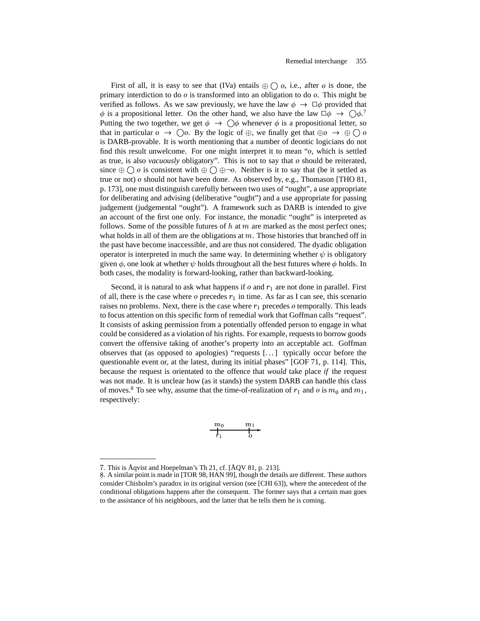First of all, it is easy to see that (IVa) entails  $\oplus \bigcirc$  o, i.e., after o is done, the primary interdiction to do  $o$  is transformed into an obligation to do  $o$ . This might be verified as follows. As we saw previously, we have the law  $\phi \to \Box \phi$  provided that  $\phi$  is a propositional letter. On the other hand, we also have the law  $\Box \phi \rightarrow \bigcirc \phi$ .<sup>7</sup> Putting the two together, we get  $\phi \rightarrow \bigcirc \phi$  whenever  $\phi$  is a propositional letter, so that in particular  $o \rightarrow \bigcirc o$ . By the logic of  $\oplus$ , we finally get that  $\oplus o \rightarrow \oplus \bigcirc o$ is DARB-provable. It is worth mentioning that a number of deontic logicians do not find this result unwelcome. For one might interpret it to mean " $o$ , which is settled as true, is also *vacuously* obligatory". This is not to say that  $o$  should be reiterated, since  $\oplus$  O *o* is consistent with  $\oplus$  O  $\oplus \neg o$ . Neither is it to say that (be it settled as true or not)  $o$  should not have been done. As observed by, e.g., Thomason [THO 81, p. 173], one must distinguish carefully between two uses of "ought", a use appropriate for deliberating and advising (deliberative "ought") and a use appropriate for passing judgement (judgemental "ought"). A framework such as DARB is intended to give an account of the first one only. For instance, the monadic "ought" is interpreted as follows. Some of the possible futures of  $h$  at  $m$  are marked as the most perfect ones; what holds in all of them are the obligations at  $m$ . Those histories that branched off in the past have become inaccessible, and are thus not considered. The dyadic obligation operator is interpreted in much the same way. In determining whether  $\psi$  is obligatory given  $\phi$ , one look at whether  $\psi$  holds throughout all the best futures where  $\phi$  holds. In both cases, the modality is forward-looking, rather than backward-looking.

Second, it is natural to ask what happens if  $o$  and  $r_1$  are not done in parallel. First of all, there is the case where  $o$  precedes  $r_1$  in time. As far as I can see, this scenario raises no problems. Next, there is the case where  $r_1$  precedes  $\sigma$  temporally. This leads to focus attention on this specific form of remedial work that Goffman calls "request". It consists of asking permission from a potentially offended person to engage in what could be considered as a violation of his rights. For example, requests to borrow goods convert the offensive taking of another's property into an acceptable act. Goffman observes that (as opposed to apologies) "requests [. . .] typically occur before the questionable event or, at the latest, during its initial phases" [GOF 71, p. 114]. This, because the request is orientated to the offence that *would* take place *if* the request was not made. It is unclear how (as it stands) the system DARB can handle this class of moves.<sup>8</sup> To see why, assume that the time-of-realization of  $r_1$  and  $o$  is  $m_0$  and  $m_1$ , respectively:

$$
\begin{matrix} & & m_0 & & m_1 \\ \hline & & & & \\ & r_1 & & o & \end{matrix}
$$

 . This is Åqvist and Hoepelman's Th 21, cf. [ÅQV 81, p. 213].

<sup>8.</sup> A similar point is made in [TOR 98, HAN 99], though the details are different. These authors consider Chisholm's paradox in its original version (see [CHI 63]), where the antecedent of the conditional obligations happens after the consequent. The former says that a certain man goes to the assistance of his neighbours, and the latter that he tells them he is coming.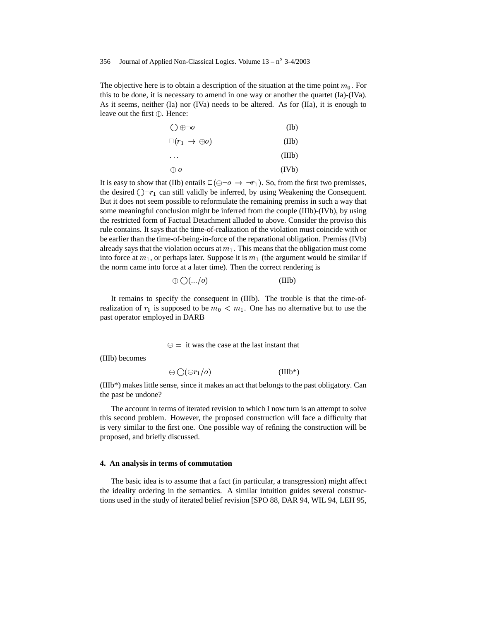The objective here is to obtain a description of the situation at the time point  $m_0$ . For this to be done, it is necessary to amend in one way or another the quartet (Ia)-(IVa). As it seems, neither (Ia) nor (IVa) needs to be altered. As for (IIa), it is enough to leave out the first  $\oplus$ . Hence:

| $\bigcap \oplus \neg o$          | $(\mathbf{I}\mathbf{b})$ |
|----------------------------------|--------------------------|
| $\Box(r_1 \rightarrow \oplus o)$ | (IIb)                    |
| $\cdots$                         | (IIIb)                   |
| $\oplus$ $o$                     | (IVb)                    |

It is easy to show that (IIb) entails  $\square(\oplus \neg o \rightarrow \neg r_1)$ . So, from the first two premisses, the desired  $\bigcap \neg r_1$  can still validly be inferred, by using Weakening the Consequent. But it does not seem possible to reformulate the remaining premiss in such a way that some meaningful conclusion might be inferred from the couple (IIIb)-(IVb), by using the restricted form of Factual Detachment alluded to above. Consider the proviso this rule contains. It says that the time-of-realization of the violation must coincide with or be earlier than the time-of-being-in-force of the reparational obligation. Premiss (IVb) already says that the violation occurs at  $m_1$ . This means that the obligation must come into force at  $m_1$ , or perhaps later. Suppose it is  $m_1$  (the argument would be similar if the norm came into force at a later time). Then the correct rendering is

$$
\oplus \bigcirc (\dots / o) \tag{IIIb}
$$

It remains to specify the consequent in (IIIb). The trouble is that the time-ofrealization of  $r_1$  is supposed to be  $m_0 < m_1$ . One has no alternative but to use the past operator employed in DARB

 $\Theta =$  it was the case at the last instant that

(IIIb) becomes

 $\oplus$  ( )( $\ominus$ r<sub>1</sub>/o)  $(IIIb*)$ 

(IIIb\*) makes little sense, since it makes an act that belongs to the past obligatory. Can the past be undone?

The account in terms of iterated revision to which I now turn is an attempt to solve this second problem. However, the proposed construction will face a difficulty that is very similar to the first one. One possible way of refining the construction will be proposed, and briefly discussed.

## **4. An analysis in terms of commutation**

The basic idea is to assume that a fact (in particular, a transgression) might affect the ideality ordering in the semantics. A similar intuition guides several constructions used in the study of iterated belief revision [SPO 88, DAR 94, WIL 94, LEH 95,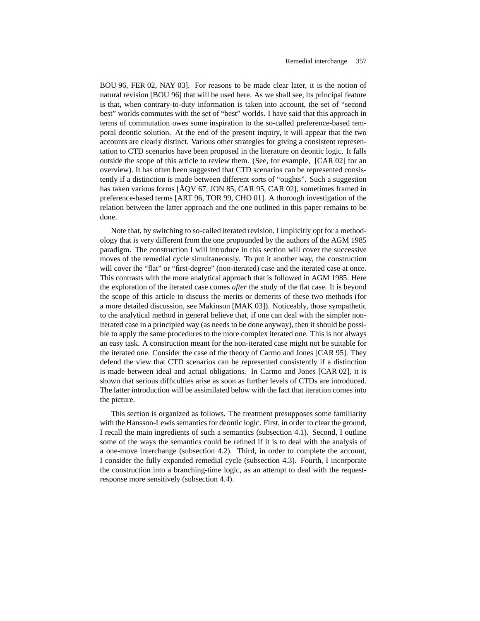BOU 96, FER 02, NAY 03]. For reasons to be made clear later, it is the notion of natural revision [BOU 96] that will be used here. As we shall see, its principal feature is that, when contrary-to-duty information is taken into account, the set of "second best" worlds commutes with the set of "best" worlds. I have said that this approach in terms of commutation owes some inspiration to the so-called preference-based temporal deontic solution. At the end of the present inquiry, it will appear that the two accounts are clearly distinct. Various other strategies for giving a consistent representation to CTD scenarios have been proposed in the literature on deontic logic. It falls outside the scope of this article to review them. (See, for example, [CAR 02] for an overview). It has often been suggested that CTD scenarios can be represented consistently if a distinction is made between different sorts of "oughts". Such a suggestion has taken various forms [ÅQV 67, JON 85, CAR 95, CAR 02], sometimes framed in preference-based terms [ART 96, TOR 99, CHO 01]. A thorough investigation of the relation between the latter approach and the one outlined in this paper remains to be done.

Note that, by switching to so-called iterated revision, I implicitly opt for a methodology that is very different from the one propounded by the authors of the AGM 1985 paradigm. The construction I will introduce in this section will cover the successive moves of the remedial cycle simultaneously. To put it another way, the construction will cover the "flat" or "first-degree" (non-iterated) case and the iterated case at once. This contrasts with the more analytical approach that is followed in AGM 1985. Here the exploration of the iterated case comes *after* the study of the flat case. It is beyond the scope of this article to discuss the merits or demerits of these two methods (for a more detailed discussion, see Makinson [MAK 03]). Noticeably, those sympathetic to the analytical method in general believe that, if one can deal with the simpler noniterated case in a principled way (as needs to be done anyway), then it should be possible to apply the same procedures to the more complex iterated one. This is not always an easy task. A construction meant for the non-iterated case might not be suitable for the iterated one. Consider the case of the theory of Carmo and Jones [CAR 95]. They defend the view that CTD scenarios can be represented consistently if a distinction is made between ideal and actual obligations. In Carmo and Jones [CAR 02], it is shown that serious difficulties arise as soon as further levels of CTDs are introduced. The latter introduction will be assimilated below with the fact that iteration comes into the picture.

This section is organized as follows. The treatment presupposes some familiarity with the Hansson-Lewis semantics for deontic logic. First, in order to clear the ground, I recall the main ingredients of such a semantics (subsection 4.1). Second, I outline some of the ways the semantics could be refined if it is to deal with the analysis of a one-move interchange (subsection 4.2). Third, in order to complete the account, I consider the fully expanded remedial cycle (subsection 4.3). Fourth, I incorporate the construction into a branching-time logic, as an attempt to deal with the requestresponse more sensitively (subsection 4.4).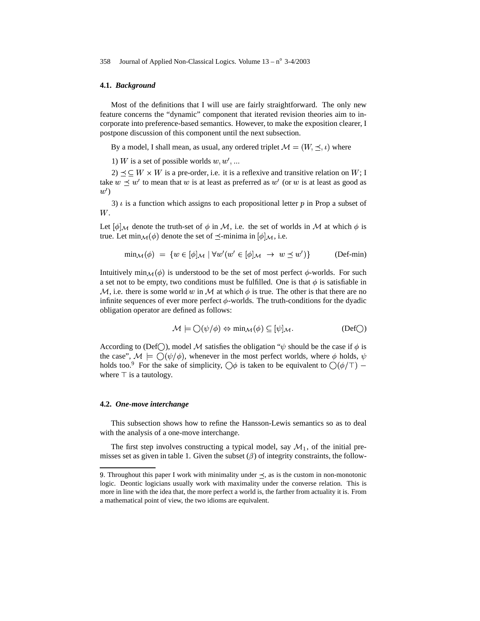## **4.1.** *Background*

Most of the definitions that I will use are fairly straightforward. The only new feature concerns the "dynamic" component that iterated revision theories aim to incorporate into preference-based semantics. However, to make the exposition clearer, I postpone discussion of this component until the next subsection.

By a model, I shall mean, as usual, any ordered triplet  $\mathcal{M} = (W, \preceq, \iota)$  where

1) W is a set of possible worlds  $w, w', ...$ 

2)  $\prec \subset W \times W$  is a pre-order, i.e. it is a reflexive and transitive relation on W; I take  $w \prec w'$  to mean that w is at least as preferred as  $w'$  (or w is at least as good as  $w'$ 

3)  $\iota$  is a function which assigns to each propositional letter  $p$  in Prop a subset of  $W.$ 

Let  $[\phi]_{\mathcal{M}}$  denote the truth-set of  $\phi$  in  $\mathcal{M}$ , i.e. the set of worlds in  $\mathcal M$  at which  $\phi$  is true. Let min $_{\mathcal{M}}(\phi)$  denote the set of  $\preceq$ -minima in  $[\phi]_{\mathcal{M}}$ , i.e.

$$
\min_{\mathcal{M}}(\phi) = \{ w \in [\phi]_{\mathcal{M}} \mid \forall w'(w' \in [\phi]_{\mathcal{M}} \rightarrow w \preceq w') \} \tag{Def-min}
$$

Intuitively min $_M(\phi)$  is understood to be the set of most perfect  $\phi$ -worlds. For such a set not to be empty, two conditions must be fulfilled. One is that  $\phi$  is satisfiable in  $\mathcal{M}$ , i.e. there is some world w in  $\mathcal M$  at which  $\phi$  is true. The other is that there are no infinite sequences of ever more perfect  $\phi$ -worlds. The truth-conditions for the dyadic obligation operator are defined as follows:

$$
\mathcal{M} \models \bigcirc (\psi/\phi) \Leftrightarrow \min_{\mathcal{M}} (\phi) \subseteq [\psi]_{\mathcal{M}}.
$$
 (Def<sub>O</sub>)

According to (Def()), model M satisfies the obligation " $\psi$  should be the case if  $\phi$  is the case",  $\mathcal{M} \models \bigcirc (\psi/\phi)$ , whenever in the most perfect worlds, where  $\phi$  holds,  $\psi$ holds too.<sup>9</sup> For the sake of simplicity,  $\bigcirc \phi$  is taken to be equivalent to  $\bigcirc (\phi/\top)$  where  $\top$  is a tautology.

## **4.2.** *One-move interchange*

This subsection shows how to refine the Hansson-Lewis semantics so as to deal with the analysis of a one-move interchange.

The first step involves constructing a typical model, say  $\mathcal{M}_1$ , of the initial premisses set as given in table 1. Given the subset  $(\beta)$  of integrity constraints, the follow-

<sup>9.</sup> Throughout this paper I work with minimality under  $\preceq$ , as is the custom in non-monotonic logic. Deontic logicians usually work with maximality under the converse relation. This is more in line with the idea that, the more perfect a world is, the farther from actuality it is. From a mathematical point of view, the two idioms are equivalent.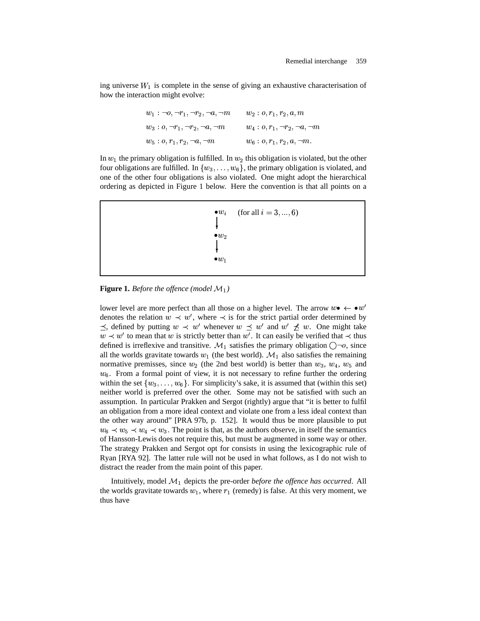ing universe  $W_1$  is complete in the sense of giving an exhaustive characterisation of how the interaction might evolve:

| $w_1 : \neg o, \neg r_1, \neg r_2, \neg a, \neg m$ | $w_2: o, r_1, r_2, a, m$                |
|----------------------------------------------------|-----------------------------------------|
| $w_3: o, \neg r_1, \neg r_2, \neg a, \neg m$       | $w_4: o, r_1, \neg r_2, \neg a, \neg m$ |
| $w_5: o, r_1, r_2, \neg a, \neg m$                 | $w_6:0,r_1,r_2,a,\neg m$ .              |

In  $w_1$  the primary obligation is fulfilled. In  $w_2$  this obligation is violated, but the other four obligations are fulfilled. In  $\{w_3, \ldots, w_6\}$ , the primary obligation is violated, and one of the other four obligations is also violated. One might adopt the hierarchical ordering as depicted in Figure 1 below. Here the convention is that all points on a



**Figure 1.** *Before the offence* (*model*  $M_1$ )

lower level are more perfect than all those on a higher level. The arrow  $w \bullet \leftarrow \bullet w'$ denotes the relation  $w \prec w'$ , where  $\prec$  is for the strict partial order determined by  $\preceq$ , defined by putting  $w \prec w'$  whenever  $w \preceq w'$  and  $w' \not\preceq w$ . One might take  $w \prec w'$  to mean that w is strictly better than w'. It can easily be verified that  $\prec$  thus defined is irreflexive and transitive.  $\mathcal{M}_1$  satisfies the primary obligation  $\bigcirc$   $\neg$ o, since all the worlds gravitate towards  $w_1$  (the best world).  $\mathcal{M}_1$  also satisfies the remaining normative premisses, since  $w_2$  (the 2nd best world) is better than  $w_3, w_4, w_5$  and  $w_6$ . From a formal point of view, it is not necessary to refine further the ordering within the set  $\{w_3, \ldots, w_6\}$ . For simplicity's sake, it is assumed that (within this set) neither world is preferred over the other. Some may not be satisfied with such an assumption. In particular Prakken and Sergot (rightly) argue that "it is better to fulfil an obligation from a more ideal context and violate one from a less ideal context than the other way around" [PRA 97b, p. 152]. It would thus be more plausible to put  $w_6 \prec w_5 \prec w_4 \prec w_3$ . The point is that, as the authors observe, in itself the semantics of Hansson-Lewis does not require this, but must be augmented in some way or other. The strategy Prakken and Sergot opt for consists in using the lexicographic rule of Ryan [RYA 92]. The latter rule will not be used in what follows, as I do not wish to distract the reader from the main point of this paper.

Intuitively, model  $\mathcal{M}_1$  depicts the pre-order *before* the *offence* has *occurred*. All the worlds gravitate towards  $w_1$ , where  $r_1$  (remedy) is false. At this very moment, we thus have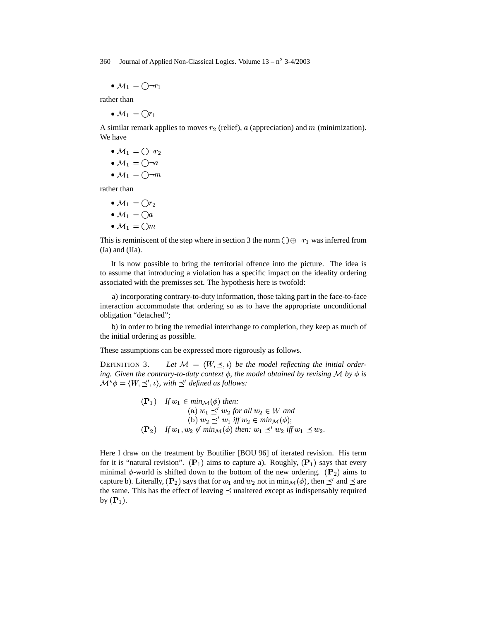$$
\bullet\;{\mathcal M}_1\models\bigcirc\neg r_1
$$

rather than

 $\bullet$   $\mathcal{M}_1 \models$  ( )  $r_1$ 

A similar remark applies to moves  $r_2$  (relief), a (appreciation) and m (minimization). We have

- $\bullet$   $\mathcal{M}_1 \models$  ( ) $\neg r_2$
- $\bullet\mathrel{{\mathcal M}}_1 \models$  ( )  $\neg a$
- $\bullet$   $\mathcal{M}_1 \vDash$  ( )  $\neg m$

rather than

- $\bullet$   $\mathcal{M}_1 \vDash ( \ \mathcal{V}_2$
- $\bullet \mathcal{M}_1 \models (\Box a$
- $\bullet$   $\mathcal{M}_1 \models$  ( )  $m$

This is reminiscent of the step where in section 3 the norm  $\bigcirc \oplus \neg r_1$  was inferred from (Ia) and (IIa).

It is now possible to bring the territorial offence into the picture. The idea is to assume that introducing a violation has a specific impact on the ideality ordering associated with the premisses set. The hypothesis here is twofold:

a) incorporating contrary-to-duty information, those taking part in the face-to-face interaction accommodate that ordering so as to have the appropriate unconditional obligation "detached";

b) in order to bring the remedial interchange to completion, they keep as much of the initial ordering as possible.

These assumptions can be expressed more rigorously as follows.

DEFINITION 3. — Let  $M = \langle W, \preceq, \iota \rangle$  be the model reflecting the initial order*ing.* Given the contrary-to-duty context  $\phi$ , the model obtained by revising M by  $\phi$  is  $\mathcal{M}^{\star}\phi = \langle W, \preceq', \iota \rangle$ , with  $\preceq'$  defined as follows:

> $(\mathbf{P}_1)$  *If*  $w_1 \in min_{\mathcal{M}}(\phi)$  then: (a)  $w_1 \preceq w_2$  *for all*  $w_2 \in W$  *and* (b)  $w_2 \preceq' w_1$  *iff*  $w_2 \in min_{\mathcal{M}}(\phi)$ ;  $(\mathbf{P}_2)$  *If*  $w_1, w_2 \notin min_{\mathcal{M}}(\phi)$  then:  $w_1 \preceq w_2$  iff  $w_1 \preceq w_2$ .

Here I draw on the treatment by Boutilier [BOU 96] of iterated revision. His term for it is "natural revision".  $(P_1)$  aims to capture a). Roughly,  $(P_1)$  says that every minimal  $\phi$ -world is shifted down to the bottom of the new ordering. (P<sub>2</sub>) aims to capture b). Literally,  $(\mathbf{P}_2)$  says that for  $w_1$  and  $w_2$  not in min $_{\mathcal{M}}(\phi)$ , then  $\preceq'$  and  $\preceq$  are the same. This has the effect of leaving  $\preceq$  unaltered except as indispensably required by  $(\mathbf{P}_1)$ .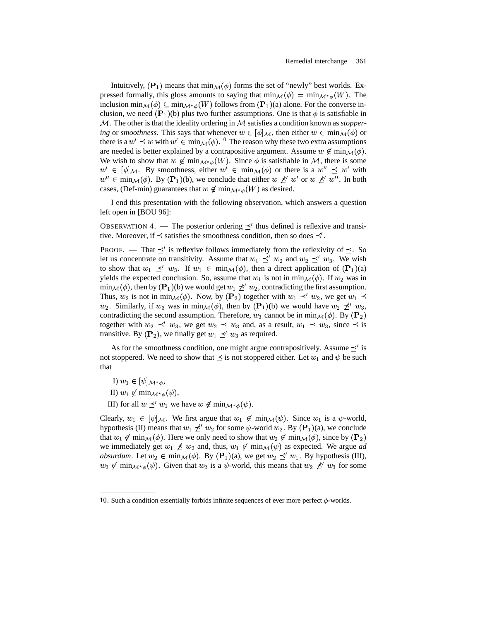Intuitively,  $(\mathbf{P}_1)$  means that  $\min_{\mathcal{M}}(\phi)$  forms the set of "newly" best worlds. Expressed formally, this gloss amounts to saying that  $\min_{\mathcal{M}} (\phi) = \min_{\mathcal{M}^* \phi}(W)$ . The inclusion min $_{\mathcal{M}}(\phi) \subseteq \min_{\mathcal{M}^*\phi}(W)$  follows from  $(\mathbf{P}_1)(a)$  alone. For the converse inclusion, we need  $(\mathbf{P}_1)(b)$  plus two further assumptions. One is that  $\phi$  is satisfiable in  $M$ . The other is that the ideality ordering in  $M$  satisfies a condition known as *stoppering* or *smoothness*. This says that whenever  $w \in [\phi]_{\mathcal{M}}$ , then either  $w \in \min_{\mathcal{M}} (\phi)$  or there is a  $w' \preceq w$  with  $w' \in \min_{\mathcal{M}} (\phi)$ .<sup>10</sup> The reason why these two extra assumptions are needed is better explained by a contrapositive argument. Assume  $w \notin \min_{\mathcal{M}} (\phi)$ . We wish to show that  $w \notin \min_{\mathcal{M}^* \phi}(W)$ . Since  $\phi$  is satisfiable in M, there is some  $w' \in [\phi]_{\mathcal{M}}$ . By smoothness, either  $w' \in \min_{\mathcal{M}} (\phi)$  or there is a  $w'' \preceq w'$  with  $w'' \in \min_{\mathcal{M}} (\phi)$ . By  $(\mathbf{P}_1)(b)$ , we conclude that either  $w \not\preceq' w'$  or  $w \not\preceq' w''$ . In both cases, (Def-min) guarantees that  $w \notin \min_{\mathcal{M}^* \phi}(W)$  as desired.

I end this presentation with the following observation, which answers a question left open in [BOU 96]:

OBSERVATION 4. — The posterior ordering  $\preceq'$  thus defined is reflexive and transitive. Moreover, if  $\prec$  satisfies the smoothness condition, then so does  $\prec'$ .

PROOF. — That  $\preceq'$  is reflexive follows immediately from the reflexivity of  $\preceq$ . So let us concentrate on transitivity. Assume that  $w_1 \preceq^{\prime} w_2$  and  $w_2 \preceq^{\prime} w_3$ . We wish to show that  $w_1 \preceq^{\prime} w_3$ . If  $w_1 \in \min_{\mathcal{M}} (\phi)$ , then a direct application of  $(\mathbf{P}_1)(a)$ yields the expected conclusion. So, assume that  $w_1$  is not in min $_{\mathcal{M}}(\phi)$ . If  $w_2$  was in  $\min_{\mathcal{M}}(\phi)$ , then by  $(\mathbf{P}_1)(b)$  we would get  $w_1 \nleq^t w_2$ , contradicting the first assumption. Thus,  $w_2$  is not in min $_{\mathcal{M}}(\phi)$ . Now, by (P<sub>2</sub>) together with  $w_1 \preceq' w_2$ , we get  $w_1 \preceq$  $w_2$ . Similarly, if  $w_3$  was in  $\min_{\mathcal{M}}(\phi)$ , then by  $(\mathbf{P}_1)(b)$  we would have  $w_2 \npreceq' w_3$ , contradicting the second assumption. Therefore,  $w_3$  cannot be in min $_{\mathcal{M}}(\phi)$ . By  $(\mathbf{P}_2)$ together with  $w_2 \preceq w_3$ , we get  $w_2 \preceq w_3$  and, as a result,  $w_1 \preceq w_3$ , since  $\preceq$  is transitive. By  $(\mathbf{P}_2)$ , we finally get  $w_1 \preceq' w_3$  as required.

As for the smoothness condition, one might argue contrapositively. Assume  $\prec'$  is not stoppered. We need to show that  $\preceq$  is not stoppered either. Let  $w_1$  and  $\psi$  be such that

- I)  $w_1 \in [\psi]_{\mathcal{M}^*\phi}$
- II)  $w_1 \notin \min_{\mathcal{M}^* \phi} (\psi),$
- III) for all  $w \preceq' w_1$  we have  $w \notin \min_{\mathcal{M}^* \phi} (\psi)$ .

Clearly,  $w_1 \in [\psi]_{\mathcal{M}}$ . We first argue that  $w_1 \notin \min_{\mathcal{M}} (\psi)$ . Since  $w_1$  is a  $\psi$ -world, hypothesis (II) means that  $w_1 \npreceq^t w_2$  for some  $\psi$ -world  $w_2$ . By  $(\mathbf{P}_1)(a)$ , we conclude that  $w_1 \notin \min_{\mathcal{M}} (\phi)$ . Here we only need to show that  $w_2 \notin \min_{\mathcal{M}} (\phi)$ , since by  $(\mathbf{P}_2)$ we immediately get  $w_1 \nleq w_2$  and, thus,  $w_1 \notin \min_{\mathcal{M}}(\psi)$  as expected. We argue *ad absurdum*. Let  $w_2 \in \min_{\mathcal{M}} (\phi)$ . By  $(\mathbf{P}_1)(a)$ , we get  $w_2 \preceq' w_1$ . By hypothesis (III),  $w_2 \notin \min_{\mathcal{M}^*\phi} (\psi)$ . Given that  $w_2$  is a  $\psi$ -world, this means that  $w_2 \not\preceq' w_3$  for some

<sup>10.</sup> Such a condition essentially forbids infinite sequences of ever more perfect  $\phi$ -worlds.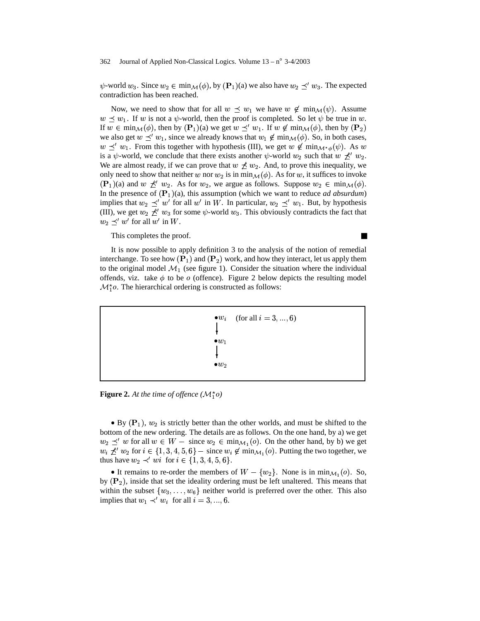$\psi$ -world  $w_3$ . Since  $w_2 \in \min_{\mathcal{M}} (\phi)$ , by  $(\mathbf{P}_1)(a)$  we also have  $w_2 \preceq w_3$ . The expected contradiction has been reached.

Now, we need to show that for all  $w \preceq w_1$  we have  $w \notin \min_{\mathcal{M}}(\psi)$ . Assume  $w \preceq w_1$ . If w is not a  $\psi$ -world, then the proof is completed. So let  $\psi$  be true in w. If  $w \in \min_{\mathcal{M}}(\phi)$ , then by  $(\mathbf{P}_1)(a)$  we get  $w \preceq' w_1$ . If  $w \notin \min_{\mathcal{M}}(\phi)$ , then by  $(\mathbf{P}_2)$ we also get  $w \preceq' w_1$ , since we already knows that  $w_1 \notin \min_{\mathcal{M}} (\phi)$ . So, in both cases,  $w \preceq' w_1$ . From this together with hypothesis (III), we get  $w \notin \min_{\mathcal{M}^* \phi} (\psi)$ . As w is a  $\psi$ -world, we conclude that there exists another  $\psi$ -world  $w_2$  such that  $w \nmid w_2$ . We are almost ready, if we can prove that  $w \nless v_2$ . And, to prove this inequality, we only need to show that neither w nor  $w_2$  is in min $\mathcal{M}(\phi)$ . As for w, it suffices to invoke  $(\mathbf{P}_1)(\mathbf{a})$  and  $w \nleq^{\prime} w_2$ . As for  $w_2$ , we argue as follows. Suppose  $w_2 \in \min_{\mathcal{M}} (\phi)$ . In the presence of  $(\mathbf{P}_1)(a)$ , this assumption (which we want to reduce *ad absurdum*) implies that  $w_2 \preceq' w'$  for all w' in W. In particular,  $w_2 \preceq' w_1$ . But, by hypothesis (III), we get  $w_2 \nleq^t w_3$  for some  $\psi$ -world  $w_3$ . This obviously contradicts the fact that  $w_2 \preceq' w'$  for all w' in W.

This completes the proof.

It is now possible to apply definition 3 to the analysis of the notion of remedial interchange. To see how  $(\mathbf{P}_1)$  and  $(\mathbf{P}_2)$  work, and how they interact, let us apply them to the original model  $\mathcal{M}_1$  (see figure 1). Consider the situation where the individual offends, viz. take  $\phi$  to be  $\sigma$  (offence). Figure 2 below depicts the resulting model  $\mathcal{M}_{10}^{*}$ . The hierarchical ordering is constructed as follows:



**Figure 2.** At the time of offence  $(\mathcal{M}_1^{\star}o)$ 

• By  $(\mathbf{P}_1)$ ,  $w_2$  is strictly better than the other worlds, and must be shifted to the bottom of the new ordering. The details are as follows. On the one hand, by a) we get  $w_2 \preceq' w$  for all  $w \in W$  – since  $w_2 \in \min_{\mathcal{M}_1} (o)$ . On the other hand, by b) we get  $w_i \not\preceq' w_2$  for  $i \in \{1, 3, 4, 5, 6\}$  – since  $w_i \notin \min_{\mathcal{M}_1}(o)$ . Putting the two together, we thus have  $w_2 \prec' w_i$  for  $i \in \{1, 3, 4, 5, 6\}$ .

It remains to re-order the members of  $W - \{w_2\}$ . None is in min<sub> $\mathcal{M}_1$ </sub> (o). So, by  $(P_2)$ , inside that set the ideality ordering must be left unaltered. This means that within the subset  $\{w_3, \ldots, w_6\}$  neither world is preferred over the other. This also implies that  $w_1 \prec^{\prime} w_i$  for all  $i = 3, ..., 6$ .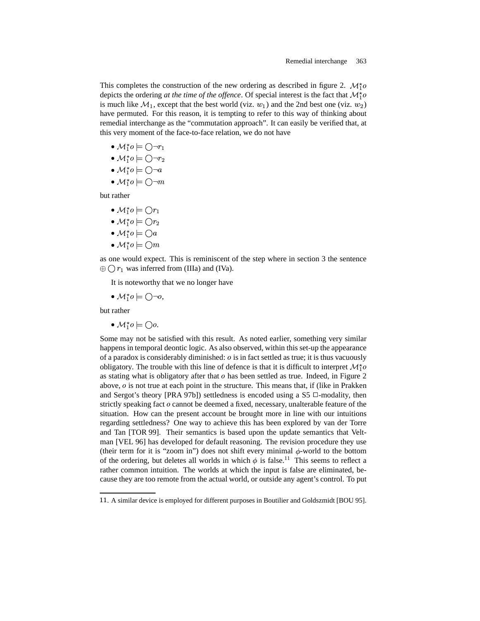This completes the construction of the new ordering as described in figure 2.  $\mathcal{M}_{10}^{\star}$ depicts the ordering *at the time of the offence*. Of special interest is the fact that  $\mathcal{M}_1^*$ is much like  $\mathcal{M}_1$ , except that the best world (viz.  $w_1$ ) and the 2nd best one (viz.  $w_2$ ) have permuted. For this reason, it is tempting to refer to this way of thinking about remedial interchange as the "commutation approach". It can easily be verified that, at this very moment of the face-to-face relation, we do not have

- $\bullet$   $\mathcal{M}$   $\hat{i}$   $0 \models$  ( )  $\neg r_1$
- $\bullet$   $\mathcal{M}$   $\hat{i}$   $o$   $\models$  ( )  $\neg$   $r_2$
- $\bullet$   $\mathcal{M} \hat{\cdot} o \models$  ( )  $\neg a$
- $\bullet$   $\mathcal{M}$   $\hat{i}$   $o$   $\models$  ( )  $\neg m$

but rather

- $\bullet$   $\mathcal{M}_1^{\circ}$   $o \models$  ( )  $r_1$
- $\bullet$   $\mathcal{M}^{\circ}_1 O \models$  ( )  $r_2$
- $\bullet$   $\mathcal{M}^{\circ} \circ \rho = (\Box)a$
- $\bullet$   $\mathcal{M}^{\circ}_1 o \models$  ( )  $m$

as one would expect. This is reminiscent of the step where in section 3 the sentence  $\oplus$   $\bigcap$   $r_1$  was inferred from (IIIa) and (IVa).

It is noteworthy that we no longer have

 $\bullet$   $\mathcal{M}^{\star}_{1}o \models \bigcirc \neg o,$ 

but rather

 $\bullet$   $\mathcal{M}_{1}^{\star}$ o  $\models$   $\bigcirc$ o.

Some may not be satisfied with this result. As noted earlier, something very similar happens in temporal deontic logic. As also observed, within this set-up the appearance of a paradox is considerably diminished:  $\sigma$  is in fact settled as true; it is thus vacuously obligatory. The trouble with this line of defence is that it is difficult to interpret  $\mathcal{M}_1^{\star}$ as stating what is obligatory after that  $\sigma$  has been settled as true. Indeed, in Figure 2 above,  $o$  is not true at each point in the structure. This means that, if (like in Prakken and Sergot's theory [PRA 97b]) settledness is encoded using a S5  $\Box$ -modality, then strictly speaking fact  $o$  cannot be deemed a fixed, necessary, unalterable feature of the situation. How can the present account be brought more in line with our intuitions regarding settledness? One way to achieve this has been explored by van der Torre and Tan [TOR 99]. Their semantics is based upon the update semantics that Veltman [VEL 96] has developed for default reasoning. The revision procedure they use (their term for it is "zoom in") does not shift every minimal  $\phi$ -world to the bottom of the ordering, but deletes all worlds in which  $\phi$  is false.<sup>11</sup> This seems to reflect a rather common intuition. The worlds at which the input is false are eliminated, because they are too remote from the actual world, or outside any agent's control. To put

<sup>11.</sup> A similar device is employed for different purposes in Boutilier and Goldszmidt [BOU 95].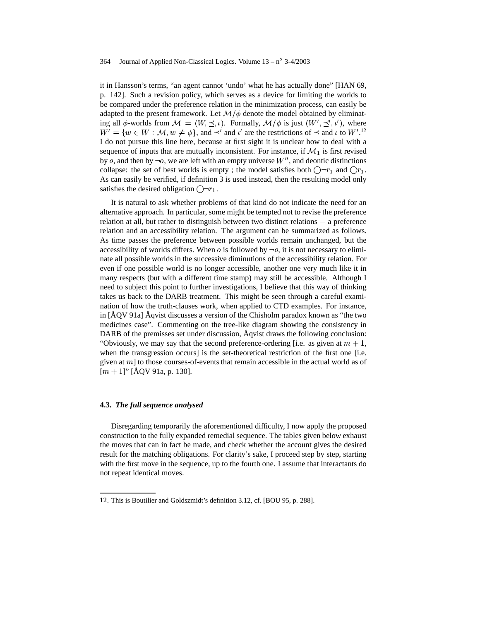it in Hansson's terms, "an agent cannot 'undo' what he has actually done" [HAN 69, p. 142]. Such a revision policy, which serves as a device for limiting the worlds to be compared under the preference relation in the minimization process, can easily be adapted to the present framework. Let  $\mathcal{M}/\phi$  denote the model obtained by eliminating all  $\phi$ -worlds from  $\mathcal{M} = (W, \preceq, \iota)$ . Formally,  $\mathcal{M}/\phi$  is just  $(W', \preceq', \iota')$ , where  $W' = \{w \in W : \mathcal{M}, w \not\models \phi\}$ , and  $\preceq'$  and  $\iota'$  are the restrictions of  $\preceq$  and  $\iota$  to  $W'$ .<sup>12</sup> I do not pursue this line here, because at first sight it is unclear how to deal with a sequence of inputs that are mutually inconsistent. For instance, if  $\mathcal{M}_1$  is first revised by o, and then by  $\neg o$ , we are left with an empty universe  $W''$ , and deontic distinctions collapse: the set of best worlds is empty; the model satisfies both  $\bigcap \neg r_1$  and  $\bigcap r_1$ . As can easily be verified, if definition 3 is used instead, then the resulting model only satisfies the desired obligation  $\bigcap \neg r_1$ .

It is natural to ask whether problems of that kind do not indicate the need for an alternative approach. In particular, some might be tempted not to revise the preference relation at all, but rather to distinguish between two distinct relations  $-$  a preference relation and an accessibility relation. The argument can be summarized as follows. As time passes the preference between possible worlds remain unchanged, but the accessibility of worlds differs. When  $o$  is followed by  $\neg o$ , it is not necessary to eliminate all possible worlds in the successive diminutions of the accessibility relation. For even if one possible world is no longer accessible, another one very much like it in many respects (but with a different time stamp) may still be accessible. Although I need to subject this point to further investigations, I believe that this way of thinking takes us back to the DARB treatment. This might be seen through a careful examination of how the truth-clauses work, when applied to CTD examples. For instance, in [ÅQV 91a] Åqvist discusses a version of the Chisholm paradox known as "the two medicines case". Commenting on the tree-like diagram showing the consistency in DARB of the premisses set under discussion, Aqvist draws the following conclusion: "Obviously, we may say that the second preference-ordering [i.e. as given at  $m + 1$ , when the transgression occurs] is the set-theoretical restriction of the first one [i.e. given at  $m$ ] to those courses-of-events that remain accessible in the actual world as of  $[m+1]$ " [ÅQV 91a, p. 130].

## **4.3.** *The full sequence analysed*

Disregarding temporarily the aforementioned difficulty, I now apply the proposed construction to the fully expanded remedial sequence. The tables given below exhaust the moves that can in fact be made, and check whether the account gives the desired result for the matching obligations. For clarity's sake, I proceed step by step, starting with the first move in the sequence, up to the fourth one. I assume that interactants do not repeat identical moves.

<sup>12.</sup> This is Boutilier and Goldszmidt's definition 3.12, cf. [BOU 95, p. 288].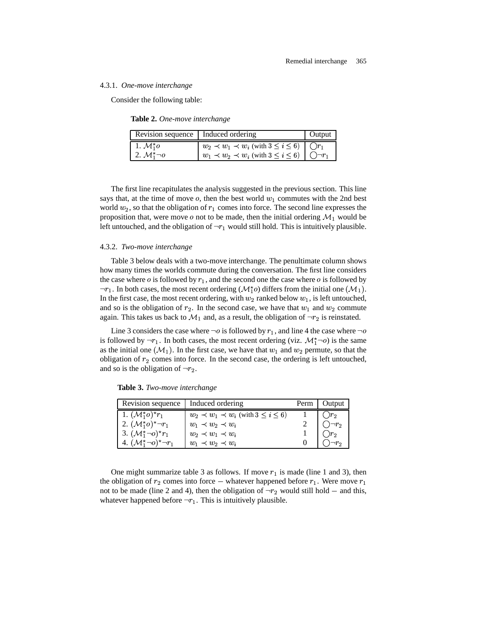## 4.3.1. *One-move interchange*

Consider the following table:

**Table 2.** *One-move interchange*

| Revision sequence   Induced ordering |                                                                        | Output |
|--------------------------------------|------------------------------------------------------------------------|--------|
| 1. $\mathcal{M}^{\star}_{1}$ o       | $w_2 \prec w_1 \prec w_i$ (with $3 \leq i \leq 6$ ) $\bigcap r_1$      |        |
| 2. $M_1^* \neg o$                    | $w_1 \prec w_2 \prec w_i$ (with $3 \leq i \leq 6$ ) $\bigcap \neg r_1$ |        |

The first line recapitulates the analysis suggested in the previous section. This line says that, at the time of move  $o$ , then the best world  $w_1$  commutes with the 2nd best world  $w_2$ , so that the obligation of  $r_1$  comes into force. The second line expresses the proposition that, were move  $\varrho$  not to be made, then the initial ordering  $\mathcal{M}_1$  would be left untouched, and the obligation of  $\neg r_1$  would still hold. This is intuitively plausible.

#### 4.3.2. *Two-move interchange*

Table 3 below deals with a two-move interchange. The penultimate column shows how many times the worlds commute during the conversation. The first line considers the case where  $o$  is followed by  $r_1$ , and the second one the case where  $o$  is followed by  $\neg r_1$ . In both cases, the most recent ordering ( $\mathcal{M}_1^*$ o) differs from the initial one ( $\mathcal{M}_1$ ). In the first case, the most recent ordering, with  $w_2$  ranked below  $w_1$ , is left untouched, and so is the obligation of  $r_2$ . In the second case, we have that  $w_1$  and  $w_2$  commute again. This takes us back to  $\mathcal{M}_1$  and, as a result, the obligation of  $\neg r_2$  is reinstated.

Line 3 considers the case where  $\neg o$  is followed by  $r_1$ , and line 4 the case where  $\neg o$ is followed by  $\neg r_1$ . In both cases, the most recent ordering (viz.  $\mathcal{M}_1^* \neg o$ ) is the same as the initial one  $(\mathcal{M}_1)$ . In the first case, we have that  $w_1$  and  $w_2$  permute, so that the obligation of  $r_2$  comes into force. In the second case, the ordering is left untouched, and so is the obligation of  $\neg r_2$ .

**Table 3.** *Two-move interchange*

| Revision sequence                     | Induced ordering                                    | Perm | Output     |
|---------------------------------------|-----------------------------------------------------|------|------------|
| 1. $({\cal M}_1^* \rho)^* r_1$        | $w_2 \prec w_1 \prec w_i$ (with $3 \leq i \leq 6$ ) |      | $)r_2$     |
| 2. $({\cal M}_1^* \rho)^* \neg r_1$   | $w_1 \prec w_2 \prec w_i$                           |      | $\neg r_2$ |
| 3. $({\cal M}_1^* \neg o)^* r_1$      | $w_2 \prec w_1 \prec w_i$                           |      | $)r_2$     |
| 4. $({\cal M}_1^* \neg o)^* \neg r_1$ | $w_1 \prec w_2 \prec w_i$                           |      |            |

One might summarize table 3 as follows. If move  $r_1$  is made (line 1 and 3), then the obligation of  $r_2$  comes into force – whatever happened before  $r_1$ . Were move  $r_1$ not to be made (line 2 and 4), then the obligation of  $\neg r_2$  would still hold – and this, whatever happened before  $\neg r_1$ . This is intuitively plausible.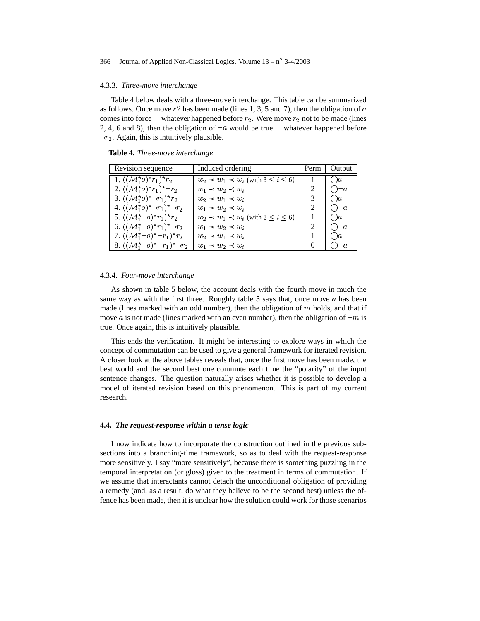#### 4.3.3. *Three-move interchange*

Table 4 below deals with a three-move interchange. This table can be summarized as follows. Once move  $r^2$  has been made (lines 1, 3, 5 and 7), then the obligation of a comes into force – whatever happened before  $r_2$ . Were move  $r_2$  not to be made (lines 2, 4, 6 and 8), then the obligation of  $\neg a$  would be true  $\neg$  whatever happened before  $\neg r_2$ . Again, this is intuitively plausible.

Revision sequence Induced ordering Perm Output 1. /  $w_2 \prec w_1 \prec w_i$  (with  $3 \leq i \leq 6$ ) 1  $\bigcirc a$ 2.  $((\mathcal{M}_1^{\star} o)^{\star} r_1)^{\star} \neg r_2$   $\big| w_1 \prec w_2 \prec w_i$  2  $\bigcirc \neg a$ 3.  $((\mathcal{M}_1^*)^* \neg r_1)^* r_2 \qquad \big| w_2 \prec w_1 \prec w_i$  3  $\bigcirc a$ 4.  $((\mathcal{M}_1^*o)^* \neg r_1)^* \neg r_2 \mid w_1 \prec w_2 \prec w_i$  2 |  $\bigcirc \neg a$  | 5. /  $w_2 \prec w_1 \prec w_i$  (with  $3 \leq i \leq 6$ ) 1  $\bigcirc a$ 6.  $((\mathcal{M}_1^* \neg o)^* r_1)^* \neg r_2 \mid w_1 \prec w_2 \prec w_i$  2 |  $\bigcirc \neg a$  | 7.  $((\mathcal{M}_1^{\star}\neg o)^{\star}\neg r_1)^{\star}r_2$   $\mid w_2 \prec w_1 \prec w_i$   $1$   $\mid$   $\bigcirc$   $a$ 8.  $((\mathcal{M}_1^{\star}\neg o)^{\star}\neg r_1)^{\star}\neg r_2 \mid w_1 \prec w_2 \prec w_i$  0  $\bigcap \neg a$ 

**Table 4.** *Three-move interchange*

## 4.3.4. *Four-move interchange*

As shown in table 5 below, the account deals with the fourth move in much the same way as with the first three. Roughly table 5 says that, once move  $\alpha$  has been made (lines marked with an odd number), then the obligation of  $m$  holds, and that if move a is not made (lines marked with an even number), then the obligation of  $\neg m$  is true. Once again, this is intuitively plausible.

This ends the verification. It might be interesting to explore ways in which the concept of commutation can be used to give a general framework for iterated revision. A closer look at the above tables reveals that, once the first move has been made, the best world and the second best one commute each time the "polarity" of the input sentence changes. The question naturally arises whether it is possible to develop a model of iterated revision based on this phenomenon. This is part of my current research.

## **4.4.** *The request-response within a tense logic*

I now indicate how to incorporate the construction outlined in the previous subsections into a branching-time framework, so as to deal with the request-response more sensitively. I say "more sensitively", because there is something puzzling in the temporal interpretation (or gloss) given to the treatment in terms of commutation. If we assume that interactants cannot detach the unconditional obligation of providing a remedy (and, as a result, do what they believe to be the second best) unless the offence has been made, then it is unclear how the solution could work for those scenarios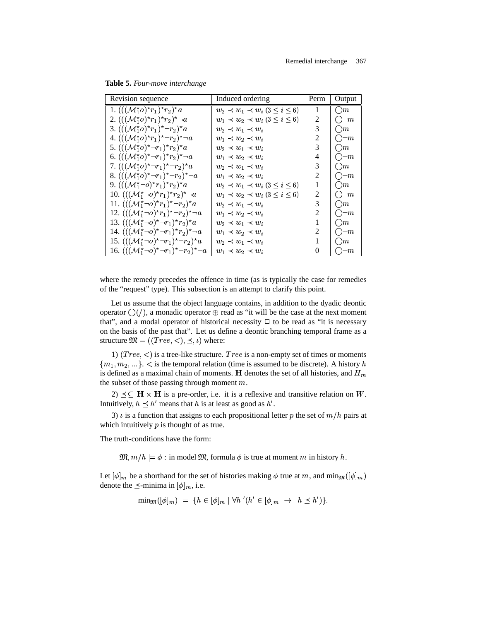| Revision sequence                                                               | Induced ordering                              | Perm     | Output                          |
|---------------------------------------------------------------------------------|-----------------------------------------------|----------|---------------------------------|
| 1. $(((\mathcal{M}_{1}^{*}o)^{*}r_{1})^{*}r_{2})^{*}a$                          | $w_2 \prec w_1 \prec w_i \ (3 \leq i \leq 6)$ | 1        | $\bigcirc$                      |
| 2. $(((\mathcal{M}_{1}^{*}o)^{*}r_{1})^{*}r_{2})^{*}\neg a$                     | $w_1 \prec w_2 \prec w_i \ (3 \leq i \leq 6)$ | 2        | $( ) \neg m$                    |
| 3. $(((\mathcal{M}_{1}^{*}o)^{*}r_{1})^{*}\neg r_{2})^{*}a$                     | $w_2 \prec w_1 \prec w_i$                     | 3        | $\odot m$                       |
| 4. $(((\mathcal{M}_{1}^{*}o)^{*}r_{1})^{*}\neg r_{2})^{*}\neg a$                | $w_1 \prec w_2 \prec w_i$                     | 2        | $( ) \neg m$                    |
| 5. $(((\mathcal{M}_{1}^{*}o)^{*}\neg r_{1})^{*}r_{2})^{*}a$                     | $w_2 \prec w_1 \prec w_i$                     | 3        | $\bigcirc$                      |
| 6. $(((\mathcal{M}_{1}^{*}o)^{*}\neg r_{1})^{*}r_{2})^{*}\neg a$                | $w_1 \prec w_2 \prec w_i$                     | 4        | $( ) \neg m$                    |
| 7. $(((\mathcal{M}_{1}^{*}o)^{*}\neg r_{1})^{*}\neg r_{2})^{*}a$                | $w_2 \prec w_1 \prec w_i$                     | 3        | $\odot m$                       |
| 8. $(((\mathcal{M}_{1}^{*}o)^{*}\neg r_{1})^{*}\neg r_{2})^{*}\neg a$           | $w_1 \prec w_2 \prec w_i$                     | 2        | $( ) \neg m$                    |
| 9. $(((\mathcal{M}_1^{\star}\neg o)^{\star}r_1)^{\star}r_2)^{\star}a$           | $w_2 \prec w_1 \prec w_i \ (3 \leq i \leq 6)$ |          | (m)                             |
| 10. $(((\mathcal{M}_1^{\star}\neg o)^{\star}r_1)^{\star}r_2)^{\star}\neg a$     | $w_1 \prec w_2 \prec w_i \ (3 \leq i \leq 6)$ | 2        | $( ) \neg m$                    |
| 11. $(((\mathcal{M}_{1}^{*}\neg o)^{*}r_{1})^{*}\neg r_{2})^{*}a$               | $w_2 \prec w_1 \prec w_i$                     | 3        | $\bigcirc$                      |
| 12. $(((\mathcal{M}_{1}^{*}\neg o)^{*}r_{1})^{*}\neg r_{2})^{*}\neg a$          | $w_1 \prec w_2 \prec w_i$                     | 2        | () $\neg m$                     |
| 13. $(((\mathcal{M}_1^{\star} \neg o)^{\star} \neg r_1)^{\star} r_2)^{\star} a$ | $w_2 \prec w_1 \prec w_i$                     |          | $\odot m$                       |
| 14. $(((\mathcal{M}_{1}^{*}\neg o)^{*}\neg r_{1})^{*}r_{2})^{*}\neg a$          | $w_1 \prec w_2 \prec w_i$                     | 2        | $( ) \neg m$                    |
| 15. $(((\mathcal{M}_{1}^{*}\neg o)^{*}\neg r_{1})^{*}\neg r_{2})^{*}a$          | $w_2 \prec w_1 \prec w_i$                     | 1        | (M)                             |
| 16. $(((\mathcal{M}_{1}^{*}\neg o)^{*}\neg r_{1})^{*}\neg r_{2})^{*}\neg a$     | $w_1 \prec w_2 \prec w_i$                     | $\theta$ | $\rightarrow$ $\rightarrow$ $m$ |

**Table 5.** *Four-move interchange*

where the remedy precedes the offence in time (as is typically the case for remedies of the "request" type). This subsection is an attempt to clarify this point.

Let us assume that the object language contains, in addition to the dyadic deontic operator  $\mathcal{O}(l)$ , a monadic operator  $\oplus$  read as "it will be the case at the next moment that", and a modal operator of historical necessity  $\Box$  to be read as "it is necessary on the basis of the past that". Let us define a deontic branching temporal frame as a structure  $\mathfrak{M} = ((Tree, <), \preceq, \iota)$  where:

1)  $(Tree, <)$  is a tree-like structure. Tree is a non-empty set of times or moments  $\{m_1, m_2, ...\}$ .  $\lt$  is the temporal relation (time is assumed to be discrete). A history h is defined as a maximal chain of moments. H denotes the set of all histories, and  $H_m$ the subset of those passing through moment  $m$ .

2)  $\leq \subseteq$  **H**  $\times$  **H** is a pre-order, i.e. it is a reflexive and transitive relation on W. Intuitively,  $h \preceq h'$  means that h is at least as good as  $h'$ .

3)  $\iota$  is a function that assigns to each propositional letter p the set of  $m/h$  pairs at which intuitively  $p$  is thought of as true.

The truth-conditions have the form:

 $\mathfrak{M}, m/h \models \phi$ : in model  $\mathfrak{M}$ , formula  $\phi$  is true at moment m in history h.

Let  $[\phi]_m$  be a shorthand for the set of histories making  $\phi$  true at m, and min<sub>m</sub>( $[\phi]_m$ ) denote the  $\preceq$ -minima in  $[\phi]_m$ , i.e.

$$
\min_{\mathfrak{M}}([\phi]_m) = \{ h \in [\phi]_m \mid \forall h \ ' (h' \in [\phi]_m \rightarrow h \preceq h') \}.
$$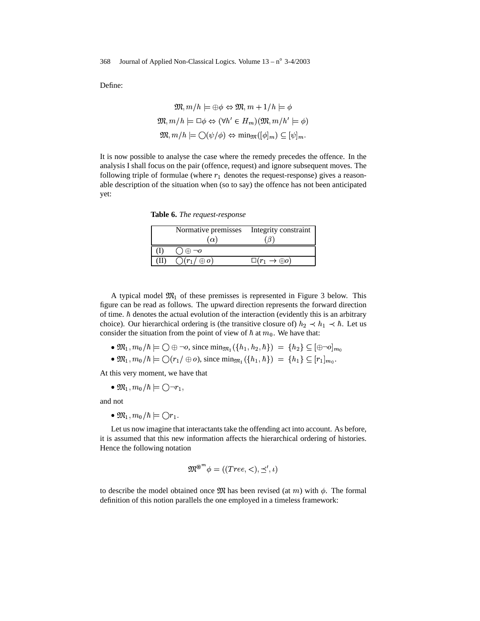Define:

$$
\mathfrak{M}, m/h \models \oplus \phi \Leftrightarrow \mathfrak{M}, m + 1/h \models \phi
$$

$$
\mathfrak{M}, m/h \models \Box \phi \Leftrightarrow (\forall h' \in H_m)(\mathfrak{M}, m/h' \models \phi)
$$

$$
\mathfrak{M}, m/h \models \bigcirc (\psi/\phi) \Leftrightarrow \min_{\mathfrak{M}} ([\phi]_m) \subseteq [\psi]_m.
$$

It is now possible to analyse the case where the remedy precedes the offence. In the analysis I shall focus on the pair (offence, request) and ignore subsequent moves. The following triple of formulae (where  $r_1$  denotes the request-response) gives a reasonable description of the situation when (so to say) the offence has not been anticipated yet:

**Table 6.** *The request-response*

| $\alpha$ |                    | Normative premisses Integrity constraint |
|----------|--------------------|------------------------------------------|
|          | $\oplus \neg o$    |                                          |
|          | ) $(r_1/\oplus o)$ | $r_1 \rightarrow \oplus o$               |

A typical model  $\mathfrak{M}_1$  of these premisses is represented in Figure 3 below. This figure can be read as follows. The upward direction represents the forward direction of time.  $\hbar$  denotes the actual evolution of the interaction (evidently this is an arbitrary choice). Our hierarchical ordering is (the transitive closure of)  $h_2 \prec h_1 \prec \hbar$ . Let us consider the situation from the point of view of  $\hbar$  at  $m_0$ . We have that:

- $\mathfrak{M}_1, m_0/h \models \bigcirc \oplus \neg o$ , since  $\min_{\mathfrak{M}_1} (\{h_1, h_2, h\}) = \{h_2\} \subseteq [\oplus \neg o]_{m_0}$
- $\mathfrak{M}_1, m_0/h \models \bigcirc (r_1/\oplus o),$  since  $\min_{\mathfrak{M}_1} (\{h_1, h\}) = \{h_1\} \subseteq [r_1]_{m_0}.$

At this very moment, we have that

$$
\bullet \; \mathfrak{M}_1, m_0/\hbar \models \bigcirc \neg r_1, \\
$$

and not

 $\bullet$   $20$ (1,  $m_0/h = (r_1, \ldots, r_n)$ 

Let us now imagine that interactants take the offending act into account. As before, it is assumed that this new information affects the hierarchical ordering of histories. Hence the following notation

$$
\mathfrak{M}^{\circledast^m} \phi = ((Tree, <), \preceq', \iota)
$$

to describe the model obtained once  $\mathfrak{M}$  has been revised (at  $m$ ) with  $\phi$ . The formal definition of this notion parallels the one employed in a timeless framework: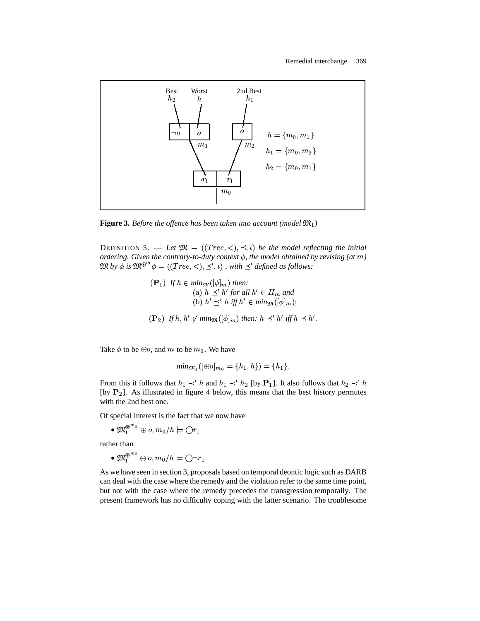

**Figure 3.** *Before the offence has been taken into account* (*model*  $\mathfrak{M}_1$ )

**DEFINITION 5.** — Let  $\mathfrak{M} = ((Tree, <), \preceq, \iota)$  be the model reflecting the initial *ordering. Given the contrary-to-duty context , the model obtained by revising (at* <sup>n</sup>*)*  $\mathfrak{M}$  by  $\phi$  is  $\mathfrak{M}^{\circledast}$   $\phi = ((Tree, <), \preceq', \iota)$  , with  $\preceq'$  defined as follows:

> $(\mathbf{P}_1)$  If  $h \in min_{\mathfrak{M}}([\phi]_m)$  then: (a)  $h \preceq' h'$  *for all*  $h' \in H_m$  *and* (b)  $h' \preceq' h$  iff  $h' \in min_{\mathfrak{M}}([\phi]_m)$ ;

 $(\mathbf{P}_2)$  If  $h, h' \notin min_{\mathfrak{M}}([\phi]_m)$  then:  $h \preceq^{\prime} h'$  iff  $h \preceq h'$ .

Take  $\phi$  to be  $\oplus$  o, and m to be  $m_0$ . We have

$$
\min_{\mathfrak{M}_1}([\oplus o]_{m_0} = \{h_1, \hbar\}) = \{h_1\}.
$$

From this it follows that  $h_1 \prec^{\prime} \hbar$  and  $h_1 \prec^{\prime} h_2$  [by  $P_1$ ]. It also follows that  $h_2 \prec^{\prime} \hbar$ [by  $P_2$ ]. As illustrated in figure 4 below, this means that the best history permutes with the 2nd best one.

Of special interest is the fact that we now have

$$
\bullet \mathrel{\mathfrak{M}}^{\circledast^{m_{0}}}_{1} \oplus o, m_{0}/\hbar \models \bigcirc r_{1}
$$

rather than

 $\bullet$   $\mathfrak{M}$   $\mathfrak{g}$   $\quad \oplus$  0,  $m_0$  / o a componente a componente de la componente de la componente de la componente de la componente de la componen  $\Box$   $\Box$   $\Box$ 

As we have seen in section 3, proposals based on temporal deontic logic such as DARB can deal with the case where the remedy and the violation refer to the same time point, but not with the case where the remedy precedes the transgression temporally. The present framework has no difficulty coping with the latter scenario. The troublesome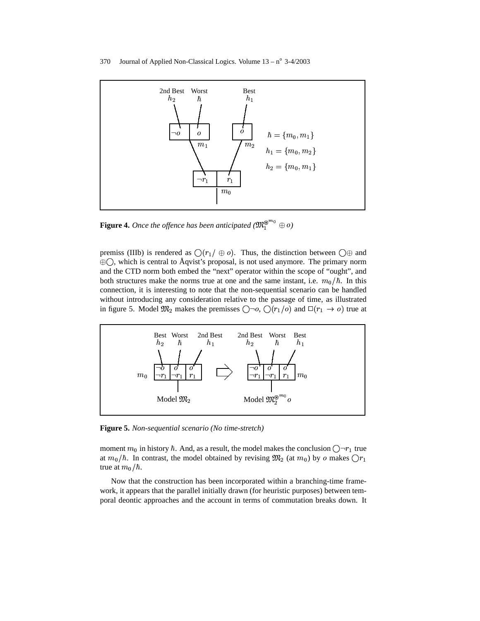

**Figure 4.** *Once the offence has been anticipated*  $(\mathfrak{M}^{\otimes^{m_0}}_1 \oplus o)$ 

premiss (IIIb) is rendered as  $\mathcal{O}(r_1/\oplus o)$ . Thus, the distinction between  $\bigcirc \oplus$  and  $\Theta$ , which is central to Åqvist's proposal, is not used anymore. The primary norm and the CTD norm both embed the "next" operator within the scope of "ought", and both structures make the norms true at one and the same instant, i.e.  $m_0/\hbar$ . In this connection, it is interesting to note that the non-sequential scenario can be handled without introducing any consideration relative to the passage of time, as illustrated in figure 5. Model  $\mathfrak{M}_2$  makes the premisses  $\bigcirc$   $\neg$   $o$ ,  $\bigcirc$   $(r_1/o)$  and  $\square$   $(r_1 \rightarrow o)$  true at



**Figure 5.** *Non-sequential scenario (No time-stretch)*

moment  $m_0$  in history  $\hbar$ . And, as a result, the model makes the conclusion  $\bigcirc \neg r_1$  true at  $m_0/\hbar$ . In contrast, the model obtained by revising  $\mathfrak{M}_2$  (at  $m_0$ ) by  $o$  makes  $\bigcirc r_1$ true at  $m_0/\hbar$ .

Now that the construction has been incorporated within a branching-time framework, it appears that the parallel initially drawn (for heuristic purposes) between temporal deontic approaches and the account in terms of commutation breaks down. It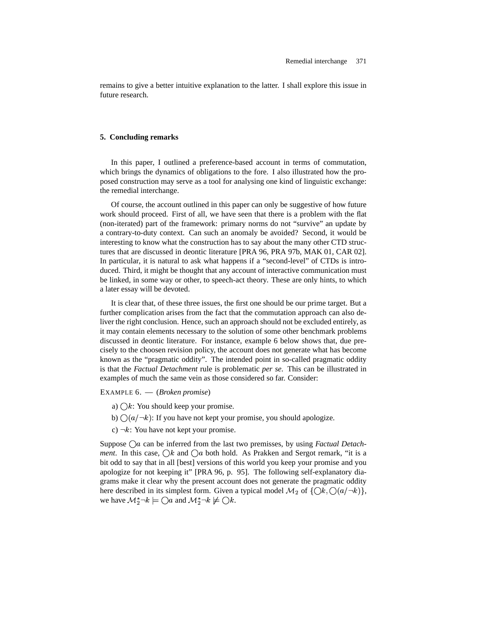remains to give a better intuitive explanation to the latter. I shall explore this issue in future research.

## **5. Concluding remarks**

In this paper, I outlined a preference-based account in terms of commutation, which brings the dynamics of obligations to the fore. I also illustrated how the proposed construction may serve as a tool for analysing one kind of linguistic exchange: the remedial interchange.

Of course, the account outlined in this paper can only be suggestive of how future work should proceed. First of all, we have seen that there is a problem with the flat (non-iterated) part of the framework: primary norms do not "survive" an update by a contrary-to-duty context. Can such an anomaly be avoided? Second, it would be interesting to know what the construction has to say about the many other CTD structures that are discussed in deontic literature [PRA 96, PRA 97b, MAK 01, CAR 02]. In particular, it is natural to ask what happens if a "second-level" of CTDs is introduced. Third, it might be thought that any account of interactive communication must be linked, in some way or other, to speech-act theory. These are only hints, to which a later essay will be devoted.

It is clear that, of these three issues, the first one should be our prime target. But a further complication arises from the fact that the commutation approach can also deliver the right conclusion. Hence, such an approach should not be excluded entirely, as it may contain elements necessary to the solution of some other benchmark problems discussed in deontic literature. For instance, example 6 below shows that, due precisely to the choosen revision policy, the account does not generate what has become known as the "pragmatic oddity". The intended point in so-called pragmatic oddity is that the *Factual Detachment* rule is problematic *per se*. This can be illustrated in examples of much the same vein as those considered so far. Consider:

## EXAMPLE 6. — (*Broken promise*)

- a)  $\bigcap k$ : You should keep your promise.
- b)  $\bigcirc$ ( $a$ / $\neg k$ ): If you have not kept your promise, you should apologize.
- c)  $\neg k$ : You have not kept your promise.

Suppose  $\bigcap a$  can be inferred from the last two premisses, by using *Factual Detachment*. In this case,  $\bigcirc k$  and  $\bigcirc a$  both hold. As Prakken and Sergot remark, "it is a bit odd to say that in all [best] versions of this world you keep your promise and you apologize for not keeping it" [PRA 96, p. 95]. The following self-explanatory diagrams make it clear why the present account does not generate the pragmatic oddity here described in its simplest form. Given a typical model  $\mathcal{M}_2$  of  $\{\bigcirc k, \bigcirc (a/\neg k)\},$ we have  $\mathcal{M}_2^* \neg k \models \bigcirc a$  and  $\mathcal{M}_2^* \neg k \not\models \bigcirc k$ .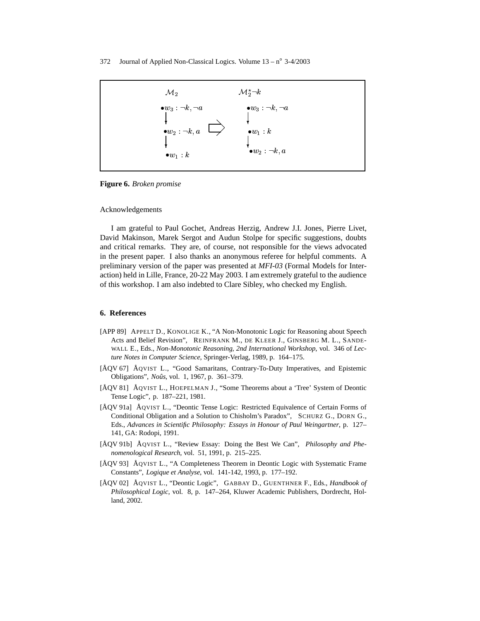

**Figure 6.** *Broken promise*

### Acknowledgements

I am grateful to Paul Gochet, Andreas Herzig, Andrew J.I. Jones, Pierre Livet, David Makinson, Marek Sergot and Audun Stolpe for specific suggestions, doubts and critical remarks. They are, of course, not responsible for the views advocated in the present paper. I also thanks an anonymous referee for helpful comments. A preliminary version of the paper was presented at *MFI-03* (Formal Models for Interaction) held in Lille, France, 20-22 May 2003. I am extremely grateful to the audience of this workshop. I am also indebted to Clare Sibley, who checked my English.

## **6. References**

- [APP 89] APPELT D., KONOLIGE K., "A Non-Monotonic Logic for Reasoning about Speech Acts and Belief Revision", REINFRANK M., DE KLEER J., GINSBERG M. L., SANDE-WALL E., Eds., *Non-Monotonic Reasoning, 2nd International Workshop*, vol. 346 of *Lecture Notes in Computer Science*, Springer-Verlag, 1989, p. 164–175.
- [ÅQV 67] ÅQVIST L., "Good Samaritans, Contrary-To-Duty Imperatives, and Epistemic Obligations", *Noûs*, vol. 1, 1967, p. 361–379.
- [ÅQV 81] ÅQVIST L., HOEPELMAN J., "Some Theorems about a 'Tree' System of Deontic Tense Logic", p. 187–221, 1981.
- [ÅQV 91a] ÅQVIST L., "Deontic Tense Logic: Restricted Equivalence of Certain Forms of Conditional Obligation and a Solution to Chisholm's Paradox", SCHURZ G., DORN G., Eds., *Advances in Scientific Philosophy: Essays in Honour of Paul Weingartner*, p. 127– 141, GA: Rodopi, 1991.
- [ÅQV 91b] ÅQVIST L., "Review Essay: Doing the Best We Can", *Philosophy and Phenomenological Research*, vol. 51, 1991, p. 215–225.
- [ÅQV 93] ÅQVIST L., "A Completeness Theorem in Deontic Logic with Systematic Frame Constants", *Logique et Analyse*, vol. 141-142, 1993, p. 177–192.
- [ÅQV 02] ÅQVIST L., "Deontic Logic", GABBAY D., GUENTHNER F., Eds., *Handbook of Philosophical Logic*, vol. 8, p. 147–264, Kluwer Academic Publishers, Dordrecht, Holland, 2002.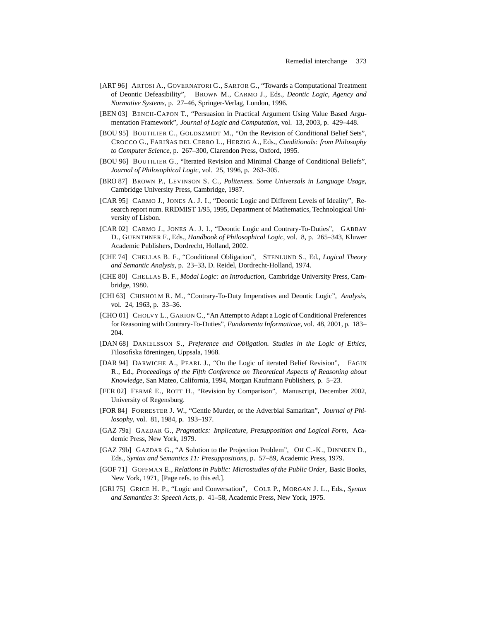- [ART 96] ARTOSI A., GOVERNATORI G., SARTOR G., "Towards a Computational Treatment of Deontic Defeasibility", BROWN M., CARMO J., Eds., *Deontic Logic, Agency and Normative Systems*, p. 27–46, Springer-Verlag, London, 1996.
- [BEN 03] BENCH-CAPON T., "Persuasion in Practical Argument Using Value Based Argumentation Framework", *Journal of Logic and Computation*, vol. 13, 2003, p. 429–448.
- [BOU 95] BOUTILIER C., GOLDSZMIDT M., "On the Revision of Conditional Belief Sets", CROCCO G., FARIÑAS DEL CERRO L., HERZIG A., Eds., *Conditionals: from Philosophy to Computer Science*, p. 267–300, Clarendon Press, Oxford, 1995.
- [BOU 96] BOUTILIER G., "Iterated Revision and Minimal Change of Conditional Beliefs", *Journal of Philosophical Logic*, vol. 25, 1996, p. 263–305.
- [BRO 87] BROWN P., LEVINSON S. C., *Politeness. Some Universals in Language Usage*, Cambridge University Press, Cambridge, 1987.
- [CAR 95] CARMO J., JONES A. J. I., "Deontic Logic and Different Levels of Ideality", Research report num. RRDMIST 1/95, 1995, Department of Mathematics, Technological University of Lisbon.
- [CAR 02] CARMO J., JONES A. J. I., "Deontic Logic and Contrary-To-Duties", GABBAY D., GUENTHNER F., Eds., *Handbook of Philosophical Logic*, vol. 8, p. 265–343, Kluwer Academic Publishers, Dordrecht, Holland, 2002.
- [CHE 74] CHELLAS B. F., "Conditional Obligation", STENLUND S., Ed., *Logical Theory and Semantic Analysis*, p. 23–33, D. Reidel, Dordrecht-Holland, 1974.
- [CHE 80] CHELLAS B. F., *Modal Logic: an Introduction*, Cambridge University Press, Cambridge, 1980.
- [CHI 63] CHISHOLM R. M., "Contrary-To-Duty Imperatives and Deontic Logic", *Analysis*, vol. 24, 1963, p. 33–36.
- [CHO 01] CHOLVY L., GARION C., "An Attempt to Adapt a Logic of Conditional Preferences for Reasoning with Contrary-To-Duties", *Fundamenta Informaticae*, vol. 48, 2001, p. 183– 204.
- [DAN 68] DANIELSSON S., *Preference and Obligation. Studies in the Logic of Ethics*, Filosofiska föreningen, Uppsala, 1968.
- [DAR 94] DARWICHE A., PEARL J., "On the Logic of iterated Belief Revision", FAGIN R., Ed., *Proceedings of the Fifth Conference on Theoretical Aspects of Reasoning about Knowledge*, San Mateo, California, 1994, Morgan Kaufmann Publishers, p. 5–23.
- [FER 02] FERMÉ E., ROTT H., "Revision by Comparison", Manuscript, December 2002, University of Regensburg.
- [FOR 84] FORRESTER J. W., "Gentle Murder, or the Adverbial Samaritan", *Journal of Philosophy*, vol. 81, 1984, p. 193–197.
- [GAZ 79a] GAZDAR G., *Pragmatics: Implicature, Presupposition and Logical Form*, Academic Press, New York, 1979.
- [GAZ 79b] GAZDAR G., "A Solution to the Projection Problem", OH C.-K., DINNEEN D., Eds., *Syntax and Semantics 11: Presuppositions*, p. 57–89, Academic Press, 1979.
- [GOF 71] GOFFMAN E., *Relations in Public: Microstudies of the Public Order*, Basic Books, New York, 1971, [Page refs. to this ed.].
- [GRI 75] GRICE H. P., "Logic and Conversation", COLE P., MORGAN J. L., Eds., *Syntax and Semantics 3: Speech Acts*, p. 41–58, Academic Press, New York, 1975.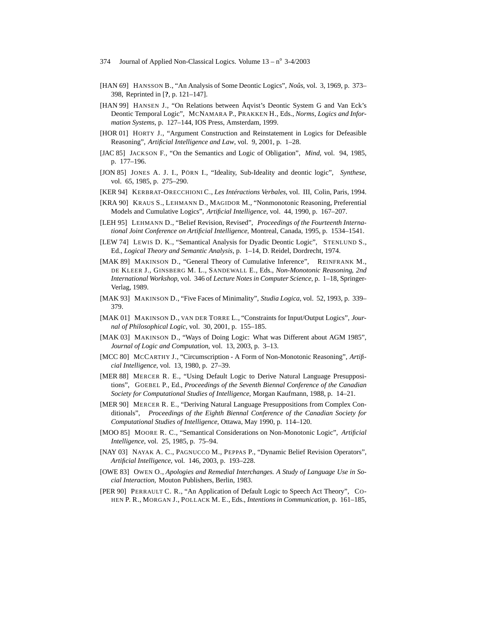- 374 Journal of Applied Non-Classical Logics. Volume 13 n 3-4/2003
- [HAN 69] HANSSON B., "An Analysis of Some Deontic Logics", *Noûs*, vol. 3, 1969, p. 373– 398, Reprinted in [**?**, p. 121–147].
- [HAN 99] HANSEN J., "On Relations between Åqvist's Deontic System G and Van Eck's Deontic Temporal Logic", MCNAMARA P., PRAKKEN H., Eds., *Norms, Logics and Information Systems*, p. 127–144, IOS Press, Amsterdam, 1999.
- [HOR 01] HORTY J., "Argument Construction and Reinstatement in Logics for Defeasible Reasoning", *Artificial Intelligence and Law*, vol. 9, 2001, p. 1–28.
- [JAC 85] JACKSON F., "On the Semantics and Logic of Obligation", *Mind*, vol. 94, 1985, p. 177–196.
- [JON 85] JONES A. J. I., PÖRN I., "Ideality, Sub-Ideality and deontic logic", *Synthese*, vol. 65, 1985, p. 275–290.
- [KER 94] KERBRAT-ORECCHIONI C., *Les Intéractions Verbales*, vol. III, Colin, Paris, 1994.
- [KRA 90] KRAUS S., LEHMANN D., MAGIDOR M., "Nonmonotonic Reasoning, Preferential Models and Cumulative Logics", *Artificial Intelligence*, vol. 44, 1990, p. 167–207.
- [LEH 95] LEHMANN D., "Belief Revision, Revised", *Proceedings of the Fourteenth International Joint Conference on Artificial Intelligence*, Montreal, Canada, 1995, p. 1534–1541.
- [LEW 74] LEWIS D. K., "Semantical Analysis for Dyadic Deontic Logic", STENLUND S., Ed., *Logical Theory and Semantic Analysis*, p. 1–14, D. Reidel, Dordrecht, 1974.
- [MAK 89] MAKINSON D., "General Theory of Cumulative Inference", REINFRANK M., DE KLEER J., GINSBERG M. L., SANDEWALL E., Eds., *Non-Monotonic Reasoning, 2nd International Workshop*, vol. 346 of *Lecture Notes in Computer Science*, p. 1–18, Springer-Verlag, 1989.
- [MAK 93] MAKINSON D., "Five Faces of Minimality", *Studia Logica*, vol. 52, 1993, p. 339– 379.
- [MAK 01] MAKINSON D., VAN DER TORRE L., "Constraints for Input/Output Logics", *Journal of Philosophical Logic*, vol. 30, 2001, p. 155–185.
- [MAK 03] MAKINSON D., "Ways of Doing Logic: What was Different about AGM 1985", *Journal of Logic and Computation*, vol. 13, 2003, p. 3–13.
- [MCC 80] MCCARTHY J., "Circumscription A Form of Non-Monotonic Reasoning", *Artificial Intelligence*, vol. 13, 1980, p. 27–39.
- [MER 88] MERCER R. E., "Using Default Logic to Derive Natural Language Presuppositions", GOEBEL P., Ed., *Proceedings of the Seventh Biennal Conference of the Canadian Society for Computational Studies of Intelligence*, Morgan Kaufmann, 1988, p. 14–21.
- [MER 90] MERCER R. E., "Deriving Natural Language Presuppositions from Complex Conditionals", *Proceedings of the Eighth Biennal Conference of the Canadian Society for Computational Studies of Intelligence*, Ottawa, May 1990, p. 114–120.
- [MOO 85] MOORE R. C., "Semantical Considerations on Non-Monotonic Logic", *Artificial Intelligence*, vol. 25, 1985, p. 75–94.
- [NAY 03] NAYAK A. C., PAGNUCCO M., PEPPAS P., "Dynamic Belief Revision Operators", *Artificial Intelligence*, vol. 146, 2003, p. 193–228.
- [OWE 83] OWEN O., *Apologies and Remedial Interchanges. A Study of Language Use in Social Interaction*, Mouton Publishers, Berlin, 1983.
- [PER 90] PERRAULT C. R., "An Application of Default Logic to Speech Act Theory", CO-HEN P. R., MORGAN J., POLLACK M. E., Eds., *Intentions in Communication*, p. 161–185,